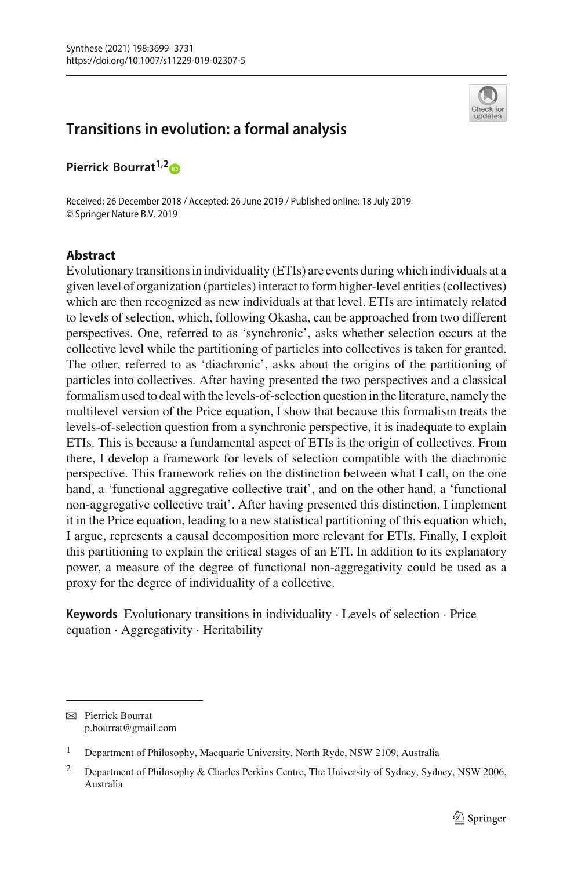

# **Transitions in evolution: a formal analysis**

**Pierrick Bourrat1,[2](http://orcid.org/0000-0002-4465-6015)**

Received: 26 December 2018 / Accepted: 26 June 2019 / Published online: 18 July 2019 © Springer Nature B.V. 2019

# **Abstract**

Evolutionary transitions in individuality (ETIs) are events during which individuals at a given level of organization (particles) interact to form higher-level entities (collectives) which are then recognized as new individuals at that level. ETIs are intimately related to levels of selection, which, following Okasha, can be approached from two different perspectives. One, referred to as 'synchronic', asks whether selection occurs at the collective level while the partitioning of particles into collectives is taken for granted. The other, referred to as 'diachronic', asks about the origins of the partitioning of particles into collectives. After having presented the two perspectives and a classical formalism used to deal with the levels-of-selection question in the literature, namely the multilevel version of the Price equation, I show that because this formalism treats the levels-of-selection question from a synchronic perspective, it is inadequate to explain ETIs. This is because a fundamental aspect of ETIs is the origin of collectives. From there, I develop a framework for levels of selection compatible with the diachronic perspective. This framework relies on the distinction between what I call, on the one hand, a 'functional aggregative collective trait', and on the other hand, a 'functional non-aggregative collective trait'. After having presented this distinction, I implement it in the Price equation, leading to a new statistical partitioning of this equation which, I argue, represents a causal decomposition more relevant for ETIs. Finally, I exploit this partitioning to explain the critical stages of an ETI. In addition to its explanatory power, a measure of the degree of functional non-aggregativity could be used as a proxy for the degree of individuality of a collective.

**Keywords** Evolutionary transitions in individuality · Levels of selection · Price equation · Aggregativity · Heritability

 $⊠$  Pierrick Bourrat p.bourrat@gmail.com

<sup>&</sup>lt;sup>1</sup> Department of Philosophy, Macquarie University, North Ryde, NSW 2109, Australia

<sup>&</sup>lt;sup>2</sup> Department of Philosophy & Charles Perkins Centre, The University of Sydney, Sydney, NSW 2006, Australia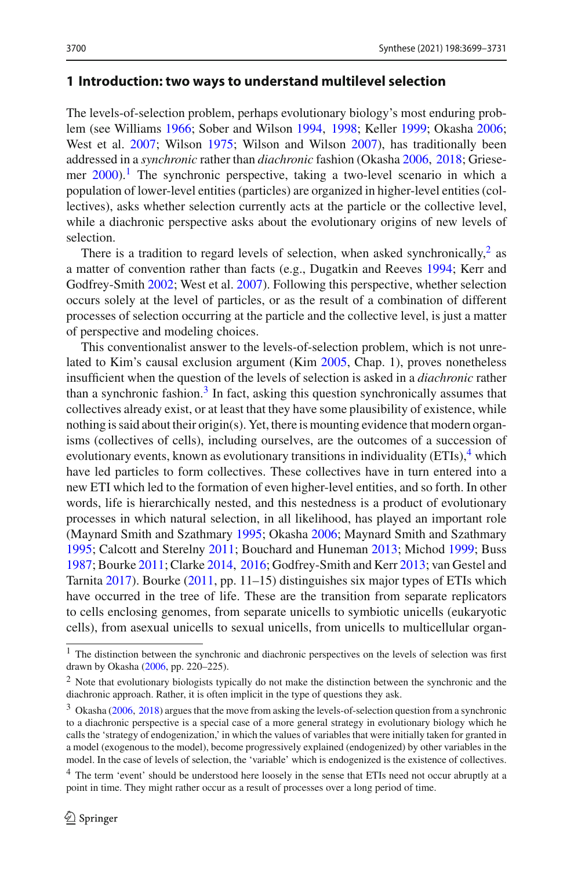### **1 Introduction: two ways to understand multilevel selection**

The levels-of-selection problem, perhaps evolutionary biology's most enduring problem (see William[s](#page-31-0) [1966;](#page-31-0) Sober and Wilso[n](#page-31-1) [1994,](#page-31-1) [1998;](#page-31-2) Kelle[r](#page-30-0) [1999;](#page-30-0) Okash[a](#page-31-3) [2006](#page-31-3); West et al[.](#page-31-4) [2007;](#page-31-4) Wilso[n](#page-31-5) [1975;](#page-31-5) Wilson and Wilso[n](#page-31-6) [2007](#page-31-6)), has traditionally been addressed in a *synchronic* rather than *diachronic* fashion (Okash[a](#page-31-3) [2006](#page-31-3), [2018](#page-31-7); Grieseme[r](#page-30-1)  $2000$ .<sup>1</sup> The synchronic perspective, taking a two-level scenario in which a population of lower-level entities (particles) are organized in higher-level entities (collectives), asks whether selection currently acts at the particle or the collective level, while a diachronic perspective asks about the evolutionary origins of new levels of selection.

There is a tradition to regard levels of selection, when asked synchronically, $\lambda^2$  as a matter of convention rather than facts (e.g., Dugatkin and Reeve[s](#page-29-0) [1994;](#page-29-0) Kerr and Godfrey-Smit[h](#page-30-2) [2002](#page-30-2); West et al[.](#page-31-4) [2007](#page-31-4)). Following this perspective, whether selection occurs solely at the level of particles, or as the result of a combination of different processes of selection occurring at the particle and the collective level, is just a matter of perspective and modeling choices.

This conventionalist answer to the levels-of-selection problem, which is not unrelated to Kim's causal exclusion argument (Ki[m](#page-30-3) [2005,](#page-30-3) Chap. 1), proves nonetheless insufficient when the question of the levels of selection is asked in a *diachronic* rather than a synchronic fashion. $3$  In fact, asking this question synchronically assumes that collectives already exist, or at least that they have some plausibility of existence, while nothing is said about their origin(s). Yet, there is mounting evidence that modern organisms (collectives of cells), including ourselves, are the outcomes of a succession of evolutionary events, known as evolutionary transitions in individuality  $(ETIs),<sup>4</sup>$  $(ETIs),<sup>4</sup>$  $(ETIs),<sup>4</sup>$  which have led particles to form collectives. These collectives have in turn entered into a new ETI which led to the formation of even higher-level entities, and so forth. In other words, life is hierarchically nested, and this nestedness is a product of evolutionary processes in which natural selection, in all likelihood, has played an important role (Maynard Smith and Szathmar[y](#page-30-4) [1995;](#page-30-4) Okash[a](#page-31-3) [2006](#page-31-3); Maynard Smith and Szathmar[y](#page-30-4) [1995;](#page-30-4) Calcott and Stereln[y](#page-29-1) [2011;](#page-29-1) Bouchard and Hunema[n](#page-29-2) [2013;](#page-29-2) Micho[d](#page-30-5) [1999](#page-30-5); Bus[s](#page-29-3) [1987;](#page-29-3) Bourk[e](#page-29-4) [2011](#page-29-4); Clark[e](#page-29-5) [2014,](#page-29-5) [2016](#page-29-6); Godfrey-Smith and Ker[r](#page-30-6) [2013](#page-30-6); van Gestel and Tarnit[a](#page-31-8) [2017\)](#page-31-8). Bourke [\(2011,](#page-29-4) pp. 11–15) distinguishes six major types of ETIs which have occurred in the tree of life. These are the transition from separate replicators to cells enclosing genomes, from separate unicells to symbiotic unicells (eukaryotic cells), from asexual unicells to sexual unicells, from unicells to multicellular organ-

<span id="page-1-0"></span> $1$  The distinction between the synchronic and diachronic perspectives on the levels of selection was first drawn by Okasha [\(2006,](#page-31-3) pp. 220–225).

<span id="page-1-1"></span><sup>2</sup> Note that evolutionary biologists typically do not make the distinction between the synchronic and the diachronic approach. Rather, it is often implicit in the type of questions they ask.

<span id="page-1-2"></span><sup>&</sup>lt;sup>3</sup> Ok[a](#page-31-3)sha [\(2006,](#page-31-3) [2018](#page-31-7)) argues that the move from asking the levels-of-selection question from a synchronic to a diachronic perspective is a special case of a more general strategy in evolutionary biology which he calls the 'strategy of endogenization,' in which the values of variables that were initially taken for granted in a model (exogenous to the model), become progressively explained (endogenized) by other variables in the model. In the case of levels of selection, the 'variable' which is endogenized is the existence of collectives.

<span id="page-1-3"></span><sup>&</sup>lt;sup>4</sup> The term 'event' should be understood here loosely in the sense that ETIs need not occur abruptly at a point in time. They might rather occur as a result of processes over a long period of time.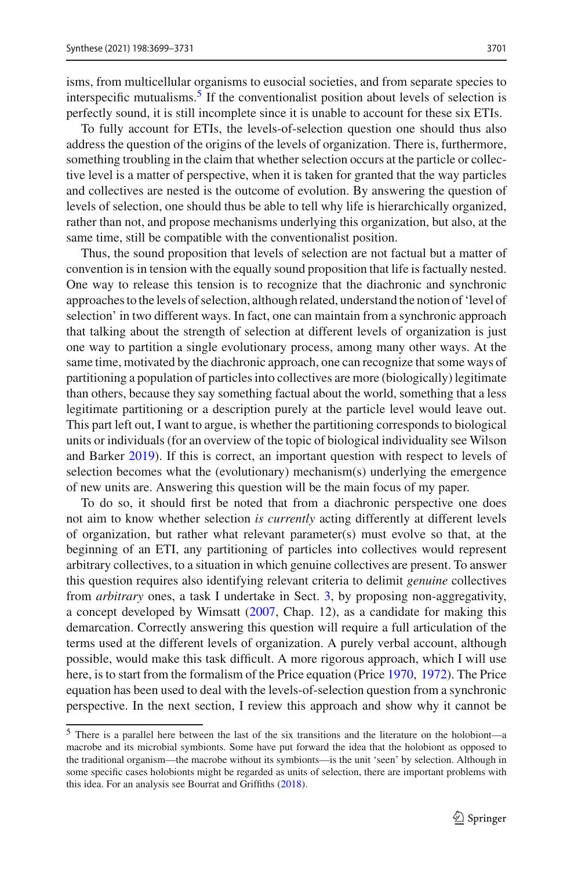isms, from multicellular organisms to eusocial societies, and from separate species to interspecific mutualisms.<sup>[5](#page-2-0)</sup> If the conventionalist position about levels of selection is perfectly sound, it is still incomplete since it is unable to account for these six ETIs.

To fully account for ETIs, the levels-of-selection question one should thus also address the question of the origins of the levels of organization. There is, furthermore, something troubling in the claim that whether selection occurs at the particle or collective level is a matter of perspective, when it is taken for granted that the way particles and collectives are nested is the outcome of evolution. By answering the question of levels of selection, one should thus be able to tell why life is hierarchically organized, rather than not, and propose mechanisms underlying this organization, but also, at the same time, still be compatible with the conventionalist position.

Thus, the sound proposition that levels of selection are not factual but a matter of convention is in tension with the equally sound proposition that life is factually nested. One way to release this tension is to recognize that the diachronic and synchronic approaches to the levels of selection, although related, understand the notion of 'level of selection' in two different ways. In fact, one can maintain from a synchronic approach that talking about the strength of selection at different levels of organization is just one way to partition a single evolutionary process, among many other ways. At the same time, motivated by the diachronic approach, one can recognize that some ways of partitioning a population of particles into collectives are more (biologically) legitimate than others, because they say something factual about the world, something that a less legitimate partitioning or a description purely at the particle level would leave out. This part left out, I want to argue, is whether the partitioning corresponds to biological units or individuals (for an overview of the topic of biological individuality see Wilson and Barke[r](#page-31-9) [2019\)](#page-31-9). If this is correct, an important question with respect to levels of selection becomes what the (evolutionary) mechanism(s) underlying the emergence of new units are. Answering this question will be the main focus of my paper.

To do so, it should first be noted that from a diachronic perspective one does not aim to know whether selection *is currently* acting differently at different levels of organization, but rather what relevant parameter(s) must evolve so that, at the beginning of an ETI, any partitioning of particles into collectives would represent arbitrary collectives, to a situation in which genuine collectives are present. To answer this question requires also identifying relevant criteria to delimit *genuine* collectives from *arbitrary* ones, a task I undertake in Sect. [3,](#page-8-0) by proposing non-aggregativity, a concept developed by Wimsatt [\(2007](#page-32-0), Chap. 12), as a candidate for making this demarcation. Correctly answering this question will require a full articulation of the terms used at the different levels of organization. A purely verbal account, although possible, would make this task difficult. A more rigorous approach, which I will use here, is to start from the formalism of the Price equation (Pric[e](#page-31-10) [1970,](#page-31-10) [1972](#page-31-11)). The Price equation has been used to deal with the levels-of-selection question from a synchronic perspective. In the next section, I review this approach and show why it cannot be

<span id="page-2-0"></span><sup>5</sup> There is a parallel here between the last of the six transitions and the literature on the holobiont—a macrobe and its microbial symbionts. Some have put forward the idea that the holobiont as opposed to the traditional organism—the macrobe without its symbionts—is the unit 'seen' by selection. Although in some specific cases holobionts might be regarded as units of selection, there are important problems with this idea. For an analysis see Bourrat and Griffith[s](#page-29-7) [\(2018](#page-29-7)).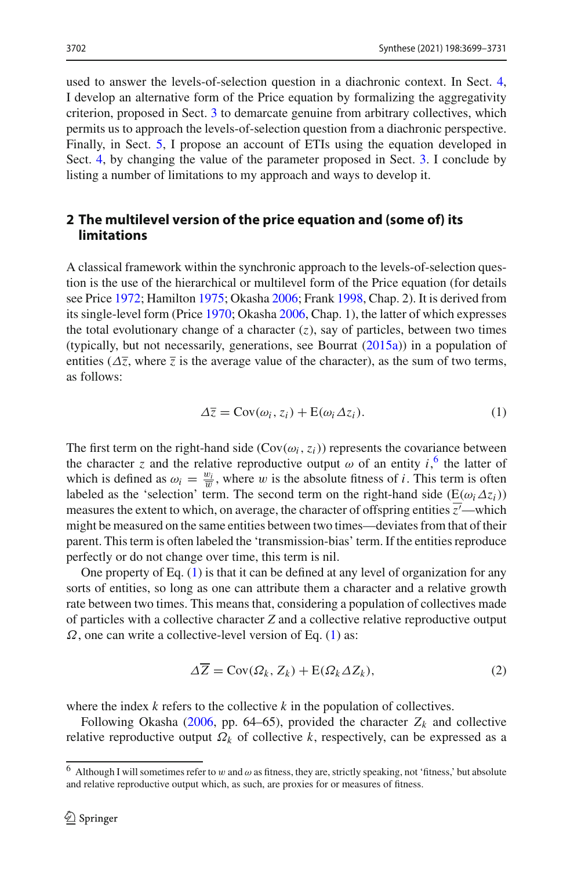used to answer the levels-of-selection question in a diachronic context. In Sect. [4,](#page-13-0) I develop an alternative form of the Price equation by formalizing the aggregativity criterion, proposed in Sect. [3](#page-8-0) to demarcate genuine from arbitrary collectives, which permits us to approach the levels-of-selection question from a diachronic perspective. Finally, in Sect. [5,](#page-22-0) I propose an account of ETIs using the equation developed in Sect. [4,](#page-13-0) by changing the value of the parameter proposed in Sect. [3.](#page-8-0) I conclude by listing a number of limitations to my approach and ways to develop it.

# <span id="page-3-3"></span>**2 The multilevel version of the price equation and (some of) its limitations**

A classical framework within the synchronic approach to the levels-of-selection question is the use of the hierarchical or multilevel form of the Price equation (for details see Pric[e](#page-31-11) [1972;](#page-31-11) Hamilto[n](#page-30-7) [1975;](#page-30-7) Okash[a](#page-31-3) [2006](#page-31-3); Fran[k](#page-29-8) [1998](#page-29-8), Chap. 2). It is derived from its single-level form (Pric[e](#page-31-10) [1970](#page-31-10); Okash[a](#page-31-3) [2006,](#page-31-3) Chap. 1), the latter of which expresses the total evolutionary change of a character  $(z)$ , say of particles, between two times (typically, but not necessarily, generations, see Bourra[t](#page-29-9) [\(2015a\)](#page-29-9)) in a population of entities ( $\Delta \bar{z}$ , where  $\bar{z}$  is the average value of the character), as the sum of two terms, as follows:

<span id="page-3-1"></span>
$$
\Delta \overline{z} = \text{Cov}(\omega_i, z_i) + \text{E}(\omega_i \Delta z_i). \tag{1}
$$

The first term on the right-hand side ( $Cov(\omega_i, z_i)$ ) represents the covariance between the character *z* and the relative reproductive output  $\omega$  of an entity *i*,<sup>[6](#page-3-0)</sup> the latter of which is defined as  $\omega_i = \frac{w_i}{w}$ , where w is the absolute fitness of *i*. This term is often labeled as the 'selection' term. The second term on the right-hand side ( $E(\omega_i \Delta z_i)$ ) measures the extent to which, on average, the character of offspring entities  $z'$ —which might be measured on the same entities between two times—deviates from that of their parent. This term is often labeled the 'transmission-bias' term. If the entities reproduce perfectly or do not change over time, this term is nil.

One property of Eq. [\(1\)](#page-3-1) is that it can be defined at any level of organization for any sorts of entities, so long as one can attribute them a character and a relative growth rate between two times. This means that, considering a population of collectives made of particles with a collective character *Z* and a collective relative reproductive output  $\Omega$ , one can write a collective-level version of Eq. [\(1\)](#page-3-1) as:

<span id="page-3-2"></span>
$$
\Delta \overline{Z} = \text{Cov}(\Omega_k, Z_k) + \text{E}(\Omega_k \Delta Z_k),\tag{2}
$$

where the index *k* refers to the collective *k* in the population of collectives.

Following Okasha [\(2006,](#page-31-3) pp. 64–65), provided the character  $Z_k$  and collective relative reproductive output  $\Omega_k$  of collective *k*, respectively, can be expressed as a

<span id="page-3-0"></span><sup>&</sup>lt;sup>6</sup> Although I will sometimes refer to w and  $\omega$  as fitness, they are, strictly speaking, not 'fitness,' but absolute and relative reproductive output which, as such, are proxies for or measures of fitness.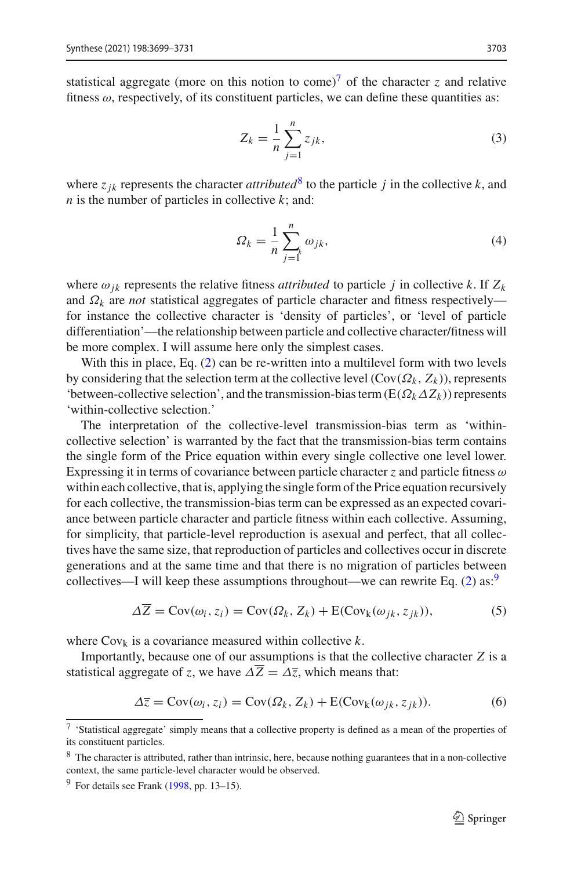statistical aggregate (more on this notion to come)<sup>7</sup> of the character *z* and relative fitness  $\omega$ , respectively, of its constituent particles, we can define these quantities as:

<span id="page-4-6"></span>
$$
Z_k = \frac{1}{n} \sum_{j=1}^n z_{jk},\tag{3}
$$

where  $z_{ik}$  represents the character *attributed*<sup>[8](#page-4-1)</sup> to the particle *j* in the collective *k*, and *n* is the number of particles in collective *k*; and:

<span id="page-4-5"></span>
$$
\Omega_k = \frac{1}{n} \sum_{j=1}^n \omega_{jk},\tag{4}
$$

where  $\omega_{jk}$  represents the relative fitness *attributed* to particle *j* in collective *k*. If  $Z_k$ and  $\Omega_k$  are *not* statistical aggregates of particle character and fitness respectively for instance the collective character is 'density of particles', or 'level of particle differentiation'—the relationship between particle and collective character/fitness will be more complex. I will assume here only the simplest cases.

With this in place, Eq. [\(2\)](#page-3-2) can be re-written into a multilevel form with two levels by considering that the selection term at the collective level  $(Cov(\Omega_k, Z_k))$ , represents 'between-collective selection', and the transmission-bias term  $(E(\Omega_k \Delta Z_k))$  represents 'within-collective selection.'

The interpretation of the collective-level transmission-bias term as 'withincollective selection' is warranted by the fact that the transmission-bias term contains the single form of the Price equation within every single collective one level lower. Expressing it in terms of covariance between particle character *z* and particle fitness  $\omega$ within each collective, that is, applying the single form of the Price equation recursively for each collective, the transmission-bias term can be expressed as an expected covariance between particle character and particle fitness within each collective. Assuming, for simplicity, that particle-level reproduction is asexual and perfect, that all collectives have the same size, that reproduction of particles and collectives occur in discrete generations and at the same time and that there is no migration of particles between collectives—I will keep these assumptions throughout—we can rewrite Eq. [\(2\)](#page-3-2) as: $9$ 

<span id="page-4-3"></span>
$$
\Delta \overline{Z} = \text{Cov}(\omega_i, z_i) = \text{Cov}(\Omega_k, Z_k) + \text{E}(\text{Cov}_k(\omega_{jk}, z_{jk})),\tag{5}
$$

where  $Cov_k$  is a covariance measured within collective  $k$ .

Importantly, because one of our assumptions is that the collective character *Z* is a statistical aggregate of *z*, we have  $\Delta \overline{Z} = \Delta \overline{z}$ , which means that:

<span id="page-4-4"></span>
$$
\Delta \overline{z} = \text{Cov}(\omega_i, z_i) = \text{Cov}(\Omega_k, Z_k) + \text{E}(\text{Cov}_k(\omega_{jk}, z_{jk})).
$$
 (6)

<span id="page-4-0"></span><sup>7</sup> 'Statistical aggregate' simply means that a collective property is defined as a mean of the properties of its constituent particles.

<span id="page-4-1"></span><sup>8</sup> The character is attributed, rather than intrinsic, here, because nothing guarantees that in a non-collective context, the same particle-level character would be observed.

<span id="page-4-2"></span> $9$  For details see Frank [\(1998,](#page-29-8) pp. 13–15).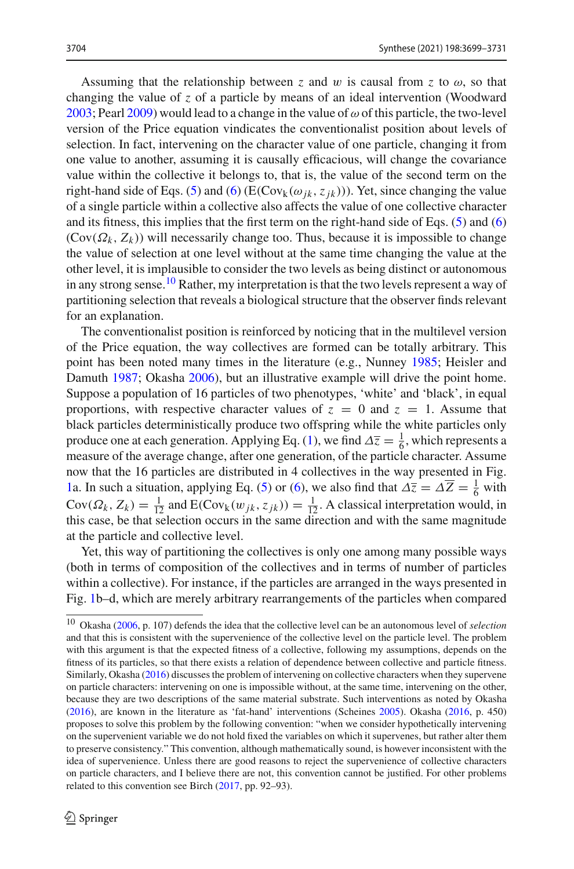Assuming that the relationship between *z* and w is causal from *z* to  $\omega$ , so that changing the value of *z* of a particle by means of an ideal intervention (Woodwar[d](#page-32-1) [2003;](#page-32-1) Pear[l](#page-31-12) [2009](#page-31-12)) would lead to a change in the value of  $\omega$  of this particle, the two-level version of the Price equation vindicates the conventionalist position about levels of selection. In fact, intervening on the character value of one particle, changing it from one value to another, assuming it is causally efficacious, will change the covariance value within the collective it belongs to, that is, the value of the second term on the right-hand side of Eqs. [\(5\)](#page-4-3) and [\(6\)](#page-4-4) ( $E(Cov_k(\omega_{ik}, z_{ik}))$ ). Yet, since changing the value of a single particle within a collective also affects the value of one collective character and its fitness, this implies that the first term on the right-hand side of Eqs.  $(5)$  and  $(6)$  $(Cov(\Omega_k, Z_k))$  will necessarily change too. Thus, because it is impossible to change the value of selection at one level without at the same time changing the value at the other level, it is implausible to consider the two levels as being distinct or autonomous in any strong sense.<sup>[10](#page-5-0)</sup> Rather, my interpretation is that the two levels represent a way of partitioning selection that reveals a biological structure that the observer finds relevant for an explanation.

The conventionalist position is reinforced by noticing that in the multilevel version of the Price equation, the way collectives are formed can be totally arbitrary. This point has been noted many times in the literature (e.g., Nunne[y](#page-31-13) [1985](#page-31-13); Heisler and Damut[h](#page-30-8) [1987;](#page-30-8) Okash[a](#page-31-3) [2006](#page-31-3)), but an illustrative example will drive the point home. Suppose a population of 16 particles of two phenotypes, 'white' and 'black', in equal proportions, with respective character values of  $z = 0$  and  $z = 1$ . Assume that black particles deterministically produce two offspring while the white particles only produce one at each generation. Applying Eq. [\(1\)](#page-3-1), we find  $\Delta \overline{z} = \frac{1}{6}$ , which represents a measure of the average change, after one generation, of the particle character. Assume now that the 16 particles are distributed in 4 collectives in the way presented in Fig. [1a](#page-6-0). In such a situation, applying Eq. [\(5\)](#page-4-3) or [\(6\)](#page-4-4), we also find that  $\Delta \overline{z} = \Delta \overline{Z} = \frac{1}{6}$  with  $Cov(\Omega_k, Z_k) = \frac{1}{12}$  and  $E(Cov_k(w_{jk}, z_{jk})) = \frac{1}{12}$ . A classical interpretation would, in this case, be that selection occurs in the same direction and with the same magnitude at the particle and collective level.

Yet, this way of partitioning the collectives is only one among many possible ways (both in terms of composition of the collectives and in terms of number of particles within a collective). For instance, if the particles are arranged in the ways presented in Fig. [1b](#page-6-0)–d, which are merely arbitrary rearrangements of the particles when compared

<span id="page-5-0"></span><sup>10</sup> Okasha [\(2006](#page-31-3), p. 107) defends the idea that the collective level can be an autonomous level of *selection* and that this is consistent with the supervenience of the collective level on the particle level. The problem with this argument is that the expected fitness of a collective, following my assumptions, depends on the fitness of its particles, so that there exists a relation of dependence between collective and particle fitness. Similarly, Okash[a](#page-31-14) [\(2016](#page-31-14)) discusses the problem of intervening on collective characters when they supervene on particle characters: intervening on one is impossible without, at the same time, intervening on the other, because they are two descriptions of the same material substrate. Such interventions as noted by Okash[a](#page-31-14) [\(2016](#page-31-14)), are known in the literature as 'fat-hand' interventions (Scheine[s](#page-31-15) [2005](#page-31-15)). Okasha [\(2016,](#page-31-14) p. 450) proposes to solve this problem by the following convention: "when we consider hypothetically intervening on the supervenient variable we do not hold fixed the variables on which it supervenes, but rather alter them to preserve consistency." This convention, although mathematically sound, is however inconsistent with the idea of supervenience. Unless there are good reasons to reject the supervenience of collective characters on particle characters, and I believe there are not, this convention cannot be justified. For other problems related to this convention see Birch [\(2017,](#page-29-10) pp. 92–93).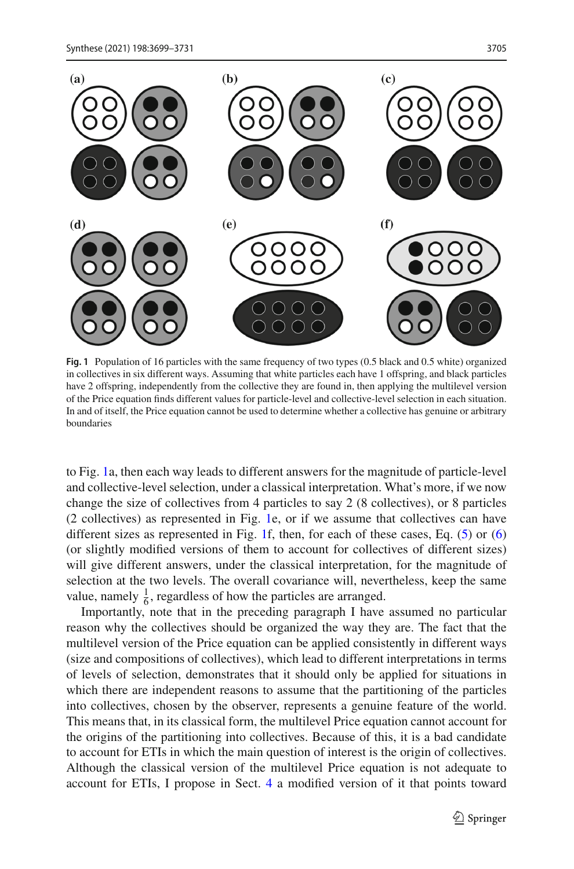

<span id="page-6-0"></span>**Fig. 1** Population of 16 particles with the same frequency of two types (0.5 black and 0.5 white) organized in collectives in six different ways. Assuming that white particles each have 1 offspring, and black particles have 2 offspring, independently from the collective they are found in, then applying the multilevel version of the Price equation finds different values for particle-level and collective-level selection in each situation. In and of itself, the Price equation cannot be used to determine whether a collective has genuine or arbitrary boundaries

to Fig. [1a](#page-6-0), then each way leads to different answers for the magnitude of particle-level and collective-level selection, under a classical interpretation. What's more, if we now change the size of collectives from 4 particles to say 2 (8 collectives), or 8 particles (2 collectives) as represented in Fig. [1e](#page-6-0), or if we assume that collectives can have different sizes as represented in Fig. [1f](#page-6-0), then, for each of these cases, Eq.  $(5)$  or  $(6)$ (or slightly modified versions of them to account for collectives of different sizes) will give different answers, under the classical interpretation, for the magnitude of selection at the two levels. The overall covariance will, nevertheless, keep the same value, namely  $\frac{1}{6}$ , regardless of how the particles are arranged.

Importantly, note that in the preceding paragraph I have assumed no particular reason why the collectives should be organized the way they are. The fact that the multilevel version of the Price equation can be applied consistently in different ways (size and compositions of collectives), which lead to different interpretations in terms of levels of selection, demonstrates that it should only be applied for situations in which there are independent reasons to assume that the partitioning of the particles into collectives, chosen by the observer, represents a genuine feature of the world. This means that, in its classical form, the multilevel Price equation cannot account for the origins of the partitioning into collectives. Because of this, it is a bad candidate to account for ETIs in which the main question of interest is the origin of collectives. Although the classical version of the multilevel Price equation is not adequate to account for ETIs, I propose in Sect. [4](#page-13-0) a modified version of it that points toward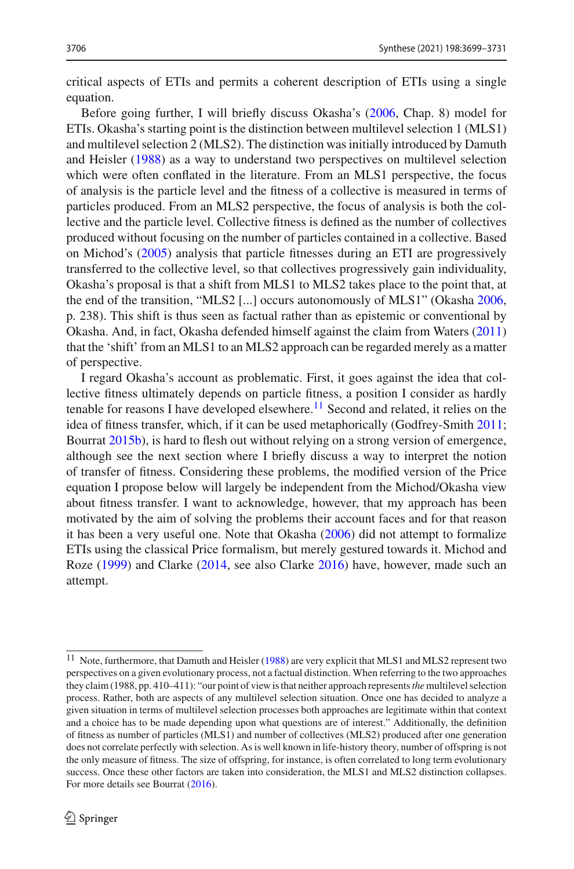critical aspects of ETIs and permits a coherent description of ETIs using a single equation.

Before going further, I will briefly discuss Okasha's [\(2006,](#page-31-3) Chap. 8) model for ETIs. Okasha's starting point is the distinction between multilevel selection 1 (MLS1) and multilevel selection 2 (MLS2). The distinction was initially introduced by Damuth and Heisle[r](#page-29-11) [\(1988](#page-29-11)) as a way to understand two perspectives on multilevel selection which were often conflated in the literature. From an MLS1 perspective, the focus of analysis is the particle level and the fitness of a collective is measured in terms of particles produced. From an MLS2 perspective, the focus of analysis is both the collective and the particle level. Collective fitness is defined as the number of collectives produced without focusing on the number of particles contained in a collective. Based on Michod's [\(2005](#page-30-9)) analysis that particle fitnesses during an ETI are progressively transferred to the collective level, so that collectives progressively gain individuality, Okasha's proposal is that a shift from MLS1 to MLS2 takes place to the point that, at the end of the transition, "MLS2 [...] occurs autonomously of MLS1" (Okash[a](#page-31-3) [2006,](#page-31-3) p. 238). This shift is thus seen as factual rather than as epistemic or conventional by Okasha. And, in fact, Okasha defended himself against the claim from Water[s](#page-31-16) [\(2011\)](#page-31-16) that the 'shift' from an MLS1 to an MLS2 approach can be regarded merely as a matter of perspective.

I regard Okasha's account as problematic. First, it goes against the idea that collective fitness ultimately depends on particle fitness, a position I consider as hardly tenable for reasons I have developed elsewhere. $^{11}$  Second and related, it relies on the idea of fitness transfer, which, if it can be used metaphorically (Godfrey-Smit[h](#page-30-10) [2011](#page-30-10); Bourra[t](#page-29-12) [2015b](#page-29-12)), is hard to flesh out without relying on a strong version of emergence, although see the next section where I briefly discuss a way to interpret the notion of transfer of fitness. Considering these problems, the modified version of the Price equation I propose below will largely be independent from the Michod/Okasha view about fitness transfer. I want to acknowledge, however, that my approach has been motivated by the aim of solving the problems their account faces and for that reason it has been a very useful one. Note that Okash[a](#page-31-3) [\(2006\)](#page-31-3) did not attempt to formalize ETIs using the classical Price formalism, but merely gestured towards it. Michod and Roz[e](#page-30-11) [\(1999](#page-30-11)) and Clarke [\(2014,](#page-29-5) see also Clark[e](#page-29-6) [2016\)](#page-29-6) have, however, made such an attempt.

<span id="page-7-0"></span><sup>&</sup>lt;sup>11</sup> Note, fu[r](#page-29-11)thermore, that Damuth and Heisler [\(1988\)](#page-29-11) are very explicit that MLS1 and MLS2 represent two perspectives on a given evolutionary process, not a factual distinction. When referring to the two approaches they claim (1988, pp. 410–411): "our point of view is that neither approach represents*the*multilevel selection process. Rather, both are aspects of any multilevel selection situation. Once one has decided to analyze a given situation in terms of multilevel selection processes both approaches are legitimate within that context and a choice has to be made depending upon what questions are of interest." Additionally, the definition of fitness as number of particles (MLS1) and number of collectives (MLS2) produced after one generation does not correlate perfectly with selection. As is well known in life-history theory, number of offspring is not the only measure of fitness. The size of offspring, for instance, is often correlated to long term evolutionary success. Once these other factors are taken into consideration, the MLS1 and MLS2 distinction collapses. For more details see Bourra[t](#page-29-13) [\(2016\)](#page-29-13).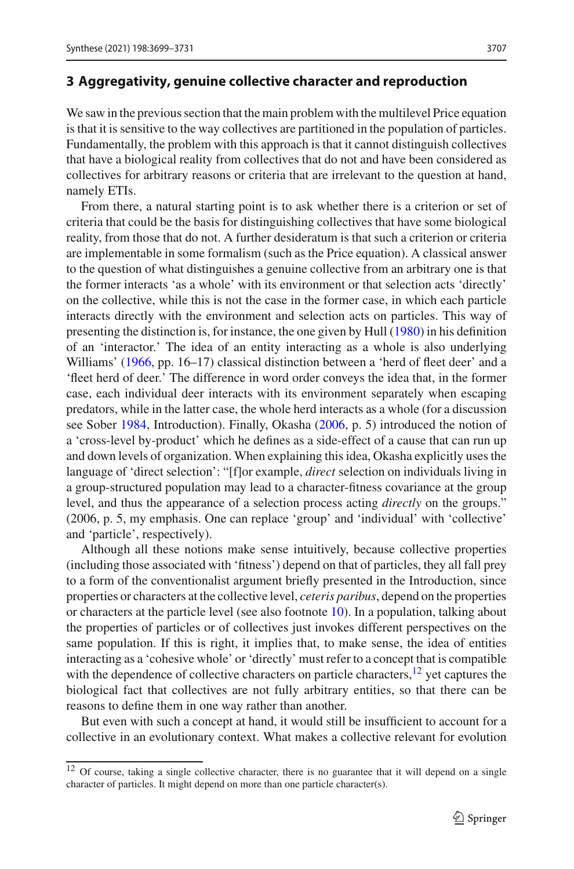# <span id="page-8-0"></span>**3 Aggregativity, genuine collective character and reproduction**

We saw in the previous section that the main problem with the multilevel Price equation is that it is sensitive to the way collectives are partitioned in the population of particles. Fundamentally, the problem with this approach is that it cannot distinguish collectives that have a biological reality from collectives that do not and have been considered as collectives for arbitrary reasons or criteria that are irrelevant to the question at hand, namely ETIs.

From there, a natural starting point is to ask whether there is a criterion or set of criteria that could be the basis for distinguishing collectives that have some biological reality, from those that do not. A further desideratum is that such a criterion or criteria are implementable in some formalism (such as the Price equation). A classical answer to the question of what distinguishes a genuine collective from an arbitrary one is that the former interacts 'as a whole' with its environment or that selection acts 'directly' on the collective, while this is not the case in the former case, in which each particle interacts directly with the environment and selection acts on particles. This way of presenting the distinction is, for instance, the one given by Hul[l](#page-30-12) [\(1980\)](#page-30-12) in his definition of an 'interactor.' The idea of an entity interacting as a whole is also underlying Williams' [\(1966,](#page-31-0) pp. 16–17) classical distinction between a 'herd of fleet deer' and a 'fleet herd of deer.' The difference in word order conveys the idea that, in the former case, each individual deer interacts with its environment separately when escaping predators, while in the latter case, the whole herd interacts as a whole (for a discussion see Sobe[r](#page-31-17) [1984](#page-31-17), Introduction). Finally, Okasha [\(2006](#page-31-3), p. 5) introduced the notion of a 'cross-level by-product' which he defines as a side-effect of a cause that can run up and down levels of organization. When explaining this idea, Okasha explicitly uses the language of 'direct selection': "[f]or example, *direct* selection on individuals living in a group-structured population may lead to a character-fitness covariance at the group level, and thus the appearance of a selection process acting *directly* on the groups." (2006, p. 5, my emphasis. One can replace 'group' and 'individual' with 'collective' and 'particle', respectively).

Although all these notions make sense intuitively, because collective properties (including those associated with 'fitness') depend on that of particles, they all fall prey to a form of the conventionalist argument briefly presented in the Introduction, since properties or characters at the collective level, *ceteris paribus*, depend on the properties or characters at the particle level (see also footnote [10\)](#page-5-0). In a population, talking about the properties of particles or of collectives just invokes different perspectives on the same population. If this is right, it implies that, to make sense, the idea of entities interacting as a 'cohesive whole' or 'directly' must refer to a concept that is compatible with the dependence of collective characters on particle characters, $12$  yet captures the biological fact that collectives are not fully arbitrary entities, so that there can be reasons to define them in one way rather than another.

But even with such a concept at hand, it would still be insufficient to account for a collective in an evolutionary context. What makes a collective relevant for evolution

<span id="page-8-1"></span><sup>&</sup>lt;sup>12</sup> Of course, taking a single collective character, there is no guarantee that it will depend on a single character of particles. It might depend on more than one particle character(s).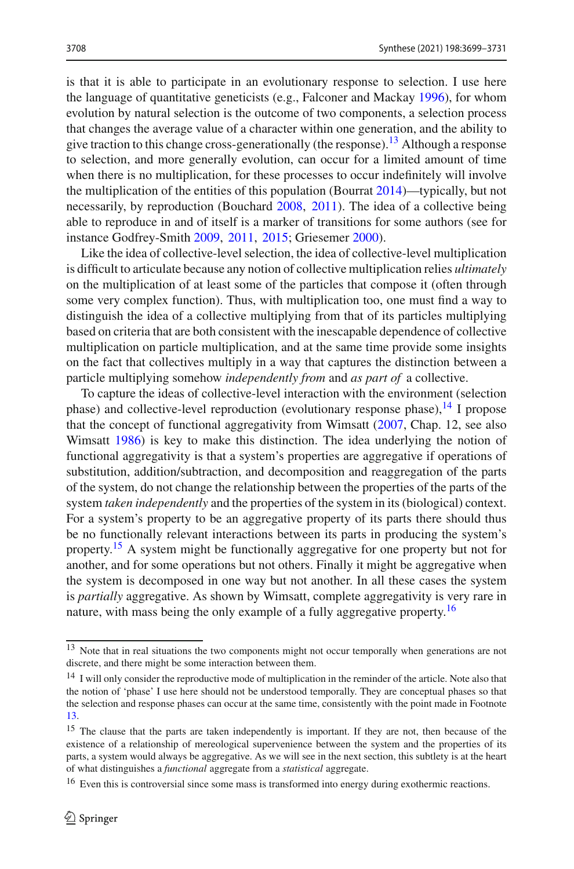is that it is able to participate in an evolutionary response to selection. I use here the language of quantitative geneticists (e.g., Falconer and Macka[y](#page-29-14) [1996\)](#page-29-14), for whom evolution by natural selection is the outcome of two components, a selection process that changes the average value of a character within one generation, and the ability to give traction to this change cross-generationally (the response).<sup>13</sup> Although a response to selection, and more generally evolution, can occur for a limited amount of time when there is no multiplication, for these processes to occur indefinitely will involve the multiplication of the entities of this population (Bourra[t](#page-29-15) [2014](#page-29-15))—typically, but not necessarily, by reproduction (Bouchar[d](#page-29-16) [2008,](#page-29-16) [2011\)](#page-29-17). The idea of a collective being able to reproduce in and of itself is a marker of transitions for some authors (see for instance Godfrey-Smit[h](#page-29-18) [2009](#page-29-18), [2011,](#page-30-10) [2015;](#page-30-13) Grieseme[r](#page-30-1) [2000](#page-30-1)).

Like the idea of collective-level selection, the idea of collective-level multiplication is difficult to articulate because any notion of collective multiplication relies *ultimately* on the multiplication of at least some of the particles that compose it (often through some very complex function). Thus, with multiplication too, one must find a way to distinguish the idea of a collective multiplying from that of its particles multiplying based on criteria that are both consistent with the inescapable dependence of collective multiplication on particle multiplication, and at the same time provide some insights on the fact that collectives multiply in a way that captures the distinction between a particle multiplying somehow *independently from* and *as part of* a collective.

To capture the ideas of collective-level interaction with the environment (selection phase) and collective-level reproduction (evolutionary response phase),  $^{14}$  $^{14}$  $^{14}$  I propose that the concept of functional aggregativity from Wimsatt [\(2007](#page-32-0), Chap. 12, see also Wimsat[t](#page-32-2) [1986\)](#page-32-2) is key to make this distinction. The idea underlying the notion of functional aggregativity is that a system's properties are aggregative if operations of substitution, addition/subtraction, and decomposition and reaggregation of the parts of the system, do not change the relationship between the properties of the parts of the system *taken independently* and the properties of the system in its (biological) context. For a system's property to be an aggregative property of its parts there should thus be no functionally relevant interactions between its parts in producing the system's property.<sup>15</sup> A system might be functionally aggregative for one property but not for another, and for some operations but not others. Finally it might be aggregative when the system is decomposed in one way but not another. In all these cases the system is *partially* aggregative. As shown by Wimsatt, complete aggregativity is very rare in nature, with mass being the only example of a fully aggregative property.<sup>16</sup>

<span id="page-9-0"></span><sup>&</sup>lt;sup>13</sup> Note that in real situations the two components might not occur temporally when generations are not discrete, and there might be some interaction between them.

<span id="page-9-1"></span><sup>&</sup>lt;sup>14</sup> I will only consider the reproductive mode of multiplication in the reminder of the article. Note also that the notion of 'phase' I use here should not be understood temporally. They are conceptual phases so that the selection and response phases can occur at the same time, consistently with the point made in Footnote [13.](#page-9-0)

<span id="page-9-2"></span><sup>&</sup>lt;sup>15</sup> The clause that the parts are taken independently is important. If they are not, then because of the existence of a relationship of mereological supervenience between the system and the properties of its parts, a system would always be aggregative. As we will see in the next section, this subtlety is at the heart of what distinguishes a *functional* aggregate from a *statistical* aggregate.

<span id="page-9-3"></span><sup>&</sup>lt;sup>16</sup> Even this is controversial since some mass is transformed into energy during exothermic reactions.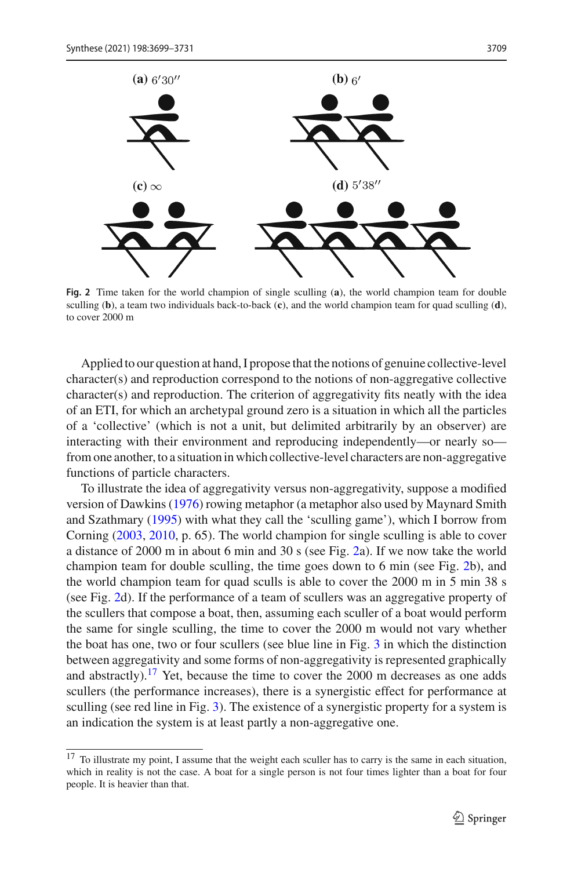

<span id="page-10-0"></span>**Fig. 2** Time taken for the world champion of single sculling (**a**), the world champion team for double sculling (**b**), a team two individuals back-to-back (**c**), and the world champion team for quad sculling (**d**), to cover 2000 m

Applied to our question at hand, I propose that the notions of genuine collective-level character(s) and reproduction correspond to the notions of non-aggregative collective character(s) and reproduction. The criterion of aggregativity fits neatly with the idea of an ETI, for which an archetypal ground zero is a situation in which all the particles of a 'collective' (which is not a unit, but delimited arbitrarily by an observer) are interacting with their environment and reproducing independently—or nearly so from one another, to a situation in which collective-level characters are non-aggregative functions of particle characters.

To illustrate the idea of aggregativity versus non-aggregativity, suppose a modified version of Dawkin[s](#page-29-19) [\(1976](#page-29-19)) rowing metaphor (a metaphor also used by Maynard Smith and Szathmar[y](#page-30-4) [\(1995\)](#page-30-4) with what they call the 'sculling game'), which I borrow from Corning [\(2003](#page-29-20), [2010](#page-29-21), p. 65). The world champion for single sculling is able to cover a distance of 2000 m in about 6 min and 30 s (see Fig. [2a](#page-10-0)). If we now take the world champion team for double sculling, the time goes down to 6 min (see Fig. [2b](#page-10-0)), and the world champion team for quad sculls is able to cover the 2000 m in 5 min 38 s (see Fig. [2d](#page-10-0)). If the performance of a team of scullers was an aggregative property of the scullers that compose a boat, then, assuming each sculler of a boat would perform the same for single sculling, the time to cover the 2000 m would not vary whether the boat has one, two or four scullers (see blue line in Fig. [3](#page-11-0) in which the distinction between aggregativity and some forms of non-aggregativity is represented graphically and abstractly).<sup>17</sup> Yet, because the time to cover the  $2000$  m decreases as one adds scullers (the performance increases), there is a synergistic effect for performance at sculling (see red line in Fig. [3\)](#page-11-0). The existence of a synergistic property for a system is an indication the system is at least partly a non-aggregative one.

<span id="page-10-1"></span><sup>&</sup>lt;sup>17</sup> To illustrate my point, I assume that the weight each sculler has to carry is the same in each situation, which in reality is not the case. A boat for a single person is not four times lighter than a boat for four people. It is heavier than that.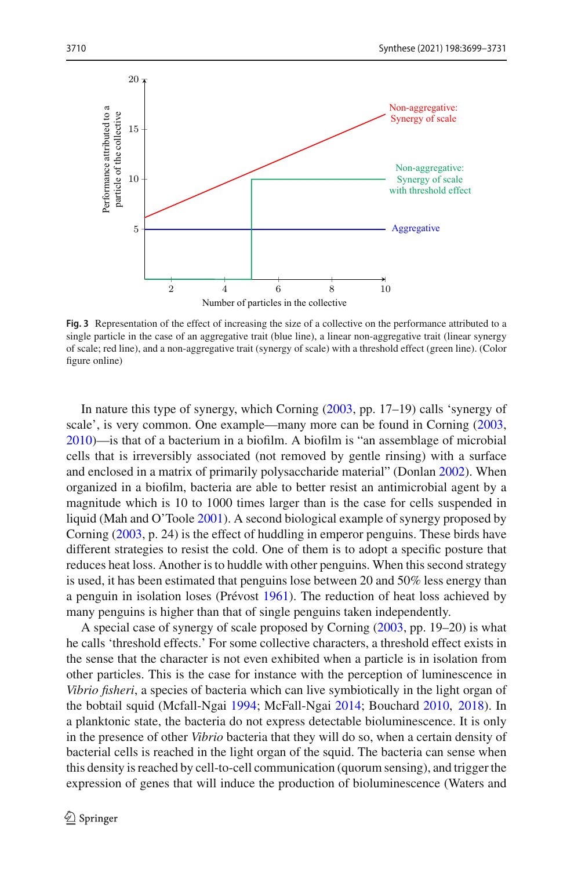

<span id="page-11-0"></span>**Fig. 3** Representation of the effect of increasing the size of a collective on the performance attributed to a single particle in the case of an aggregative trait (blue line), a linear non-aggregative trait (linear synergy of scale; red line), and a non-aggregative trait (synergy of scale) with a threshold effect (green line). (Color figure online)

In nature this type of synergy, which Corning [\(2003](#page-29-20), pp. 17–19) calls 'synergy of scale', is very common. One example—many more can be found in Corning [\(2003,](#page-29-20) [2010\)](#page-29-21)—is that of a bacterium in a biofilm. A biofilm is "an assemblage of microbial cells that is irreversibly associated (not removed by gentle rinsing) with a surface and enclosed in a matrix of primarily polysaccharide material" (Donla[n](#page-29-22) [2002](#page-29-22)). When organized in a biofilm, bacteria are able to better resist an antimicrobial agent by a magnitude which is 10 to 1000 times larger than is the case for cells suspended in liquid (Mah and O'Tool[e](#page-30-14) [2001](#page-30-14)). A second biological example of synergy proposed by Corning [\(2003,](#page-29-20) p. 24) is the effect of huddling in emperor penguins. These birds have different strategies to resist the cold. One of them is to adopt a specific posture that reduces heat loss. Another is to huddle with other penguins. When this second strategy is used, it has been estimated that penguins lose between 20 and 50% less energy than a penguin in isolation loses (Prévos[t](#page-31-18) [1961](#page-31-18)). The reduction of heat loss achieved by many penguins is higher than that of single penguins taken independently.

A special case of synergy of scale proposed by Corning [\(2003,](#page-29-20) pp. 19–20) is what he calls 'threshold effects.' For some collective characters, a threshold effect exists in the sense that the character is not even exhibited when a particle is in isolation from other particles. This is the case for instance with the perception of luminescence in *Vibrio fisheri*, a species of bacteria which can live symbiotically in the light organ of the bobtail squid (Mcfall-Nga[i](#page-30-15) [1994;](#page-30-15) McFall-Nga[i](#page-30-16) [2014;](#page-30-16) Bouchar[d](#page-29-23) [2010](#page-29-23), [2018\)](#page-29-24). In a planktonic state, the bacteria do not express detectable bioluminescence. It is only in the presence of other *Vibrio* bacteria that they will do so, when a certain density of bacterial cells is reached in the light organ of the squid. The bacteria can sense when this density is reached by cell-to-cell communication (quorum sensing), and trigger the expression of genes that will induce the production of bioluminescence (Waters and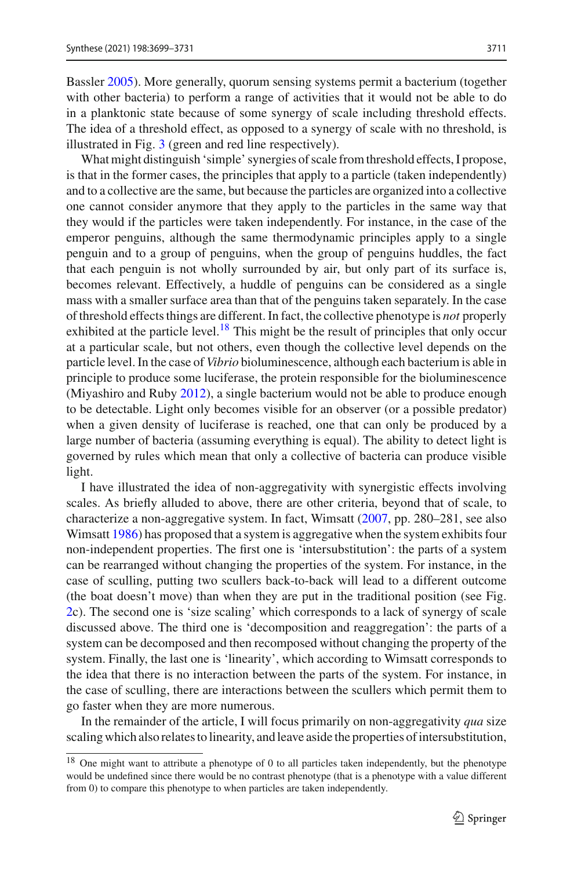Bassle[r](#page-31-19) [2005](#page-31-19)). More generally, quorum sensing systems permit a bacterium (together with other bacteria) to perform a range of activities that it would not be able to do in a planktonic state because of some synergy of scale including threshold effects. The idea of a threshold effect, as opposed to a synergy of scale with no threshold, is illustrated in Fig. [3](#page-11-0) (green and red line respectively).

What might distinguish 'simple' synergies of scale from threshold effects, I propose, is that in the former cases, the principles that apply to a particle (taken independently) and to a collective are the same, but because the particles are organized into a collective one cannot consider anymore that they apply to the particles in the same way that they would if the particles were taken independently. For instance, in the case of the emperor penguins, although the same thermodynamic principles apply to a single penguin and to a group of penguins, when the group of penguins huddles, the fact that each penguin is not wholly surrounded by air, but only part of its surface is, becomes relevant. Effectively, a huddle of penguins can be considered as a single mass with a smaller surface area than that of the penguins taken separately. In the case of threshold effects things are different. In fact, the collective phenotype is *not* properly exhibited at the particle level.<sup>[18](#page-12-0)</sup> This might be the result of principles that only occur at a particular scale, but not others, even though the collective level depends on the particle level. In the case of *Vibrio* bioluminescence, although each bacterium is able in principle to produce some luciferase, the protein responsible for the bioluminescence (Miyashiro and Rub[y](#page-30-17) [2012\)](#page-30-17), a single bacterium would not be able to produce enough to be detectable. Light only becomes visible for an observer (or a possible predator) when a given density of luciferase is reached, one that can only be produced by a large number of bacteria (assuming everything is equal). The ability to detect light is governed by rules which mean that only a collective of bacteria can produce visible light.

I have illustrated the idea of non-aggregativity with synergistic effects involving scales. As briefly alluded to above, there are other criteria, beyond that of scale, to characterize a non-aggregative system. In fact, Wimsatt [\(2007](#page-32-0), pp. 280–281, see also Wimsat[t](#page-32-2) [1986\)](#page-32-2) has proposed that a system is aggregative when the system exhibits four non-independent properties. The first one is 'intersubstitution': the parts of a system can be rearranged without changing the properties of the system. For instance, in the case of sculling, putting two scullers back-to-back will lead to a different outcome (the boat doesn't move) than when they are put in the traditional position (see Fig. [2c](#page-10-0)). The second one is 'size scaling' which corresponds to a lack of synergy of scale discussed above. The third one is 'decomposition and reaggregation': the parts of a system can be decomposed and then recomposed without changing the property of the system. Finally, the last one is 'linearity', which according to Wimsatt corresponds to the idea that there is no interaction between the parts of the system. For instance, in the case of sculling, there are interactions between the scullers which permit them to go faster when they are more numerous.

In the remainder of the article, I will focus primarily on non-aggregativity *qua* size scaling which also relates to linearity, and leave aside the properties of intersubstitution,

<span id="page-12-0"></span><sup>&</sup>lt;sup>18</sup> One might want to attribute a phenotype of 0 to all particles taken independently, but the phenotype would be undefined since there would be no contrast phenotype (that is a phenotype with a value different from 0) to compare this phenotype to when particles are taken independently.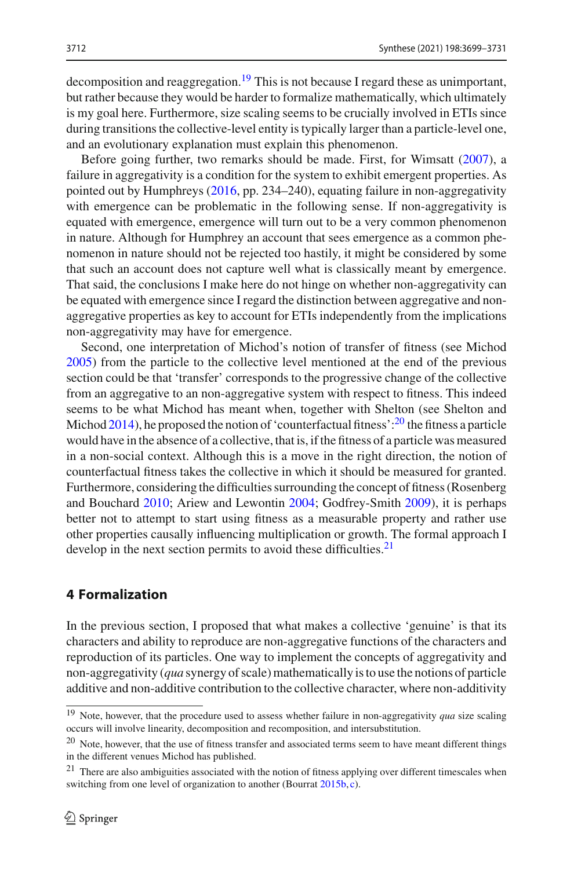decomposition and reaggregation.<sup>[19](#page-13-1)</sup> This is not because I regard these as unimportant, but rather because they would be harder to formalize mathematically, which ultimately is my goal here. Furthermore, size scaling seems to be crucially involved in ETIs since during transitions the collective-level entity is typically larger than a particle-level one, and an evolutionary explanation must explain this phenomenon.

Before going further, two remarks should be made. First, for Wimsat[t](#page-32-0) [\(2007](#page-32-0)), a failure in aggregativity is a condition for the system to exhibit emergent properties. As pointed out by Humphreys [\(2016](#page-30-18), pp. 234–240), equating failure in non-aggregativity with emergence can be problematic in the following sense. If non-aggregativity is equated with emergence, emergence will turn out to be a very common phenomenon in nature. Although for Humphrey an account that sees emergence as a common phenomenon in nature should not be rejected too hastily, it might be considered by some that such an account does not capture well what is classically meant by emergence. That said, the conclusions I make here do not hinge on whether non-aggregativity can be equated with emergence since I regard the distinction between aggregative and nonaggregative properties as key to account for ETIs independently from the implications non-aggregativity may have for emergence.

Second, one interpretation of Michod's notion of transfer of fitness (see Micho[d](#page-30-9) [2005\)](#page-30-9) from the particle to the collective level mentioned at the end of the previous section could be that 'transfer' corresponds to the progressive change of the collective from an aggregative to an non-aggregative system with respect to fitness. This indeed seems to be what Michod has meant when, together with Shelton (see Shelton and Micho[d](#page-31-20) [2014](#page-31-20)), he proposed the notion of 'counterfactual fitness':  $^{20}$  the fitness a particle would have in the absence of a collective, that is, if the fitness of a particle was measured in a non-social context. Although this is a move in the right direction, the notion of counterfactual fitness takes the collective in which it should be measured for granted. Furthermore, considering the difficulties surrounding the concept of fitness (Rosenberg and Bouchar[d](#page-31-21) [2010;](#page-31-21) Ariew and Lewonti[n](#page-29-25) [2004](#page-29-25); Godfrey-Smit[h](#page-29-18) [2009](#page-29-18)), it is perhaps better not to attempt to start using fitness as a measurable property and rather use other properties causally influencing multiplication or growth. The formal approach I develop in the next section permits to avoid these difficulties.<sup>[21](#page-13-3)</sup>

# <span id="page-13-0"></span>**4 Formalization**

In the previous section, I proposed that what makes a collective 'genuine' is that its characters and ability to reproduce are non-aggregative functions of the characters and reproduction of its particles. One way to implement the concepts of aggregativity and non-aggregativity (*qua* synergy of scale) mathematically is to use the notions of particle additive and non-additive contribution to the collective character, where non-additivity

<span id="page-13-1"></span><sup>19</sup> Note, however, that the procedure used to assess whether failure in non-aggregativity *qua* size scaling occurs will involve linearity, decomposition and recomposition, and intersubstitution.

<span id="page-13-2"></span><sup>&</sup>lt;sup>20</sup> Note, however, that the use of fitness transfer and associated terms seem to have meant different things in the different venues Michod has published.

<span id="page-13-3"></span><sup>&</sup>lt;sup>21</sup> There are also ambiguities associated with the notion of fitness applying over different timescales when switching from one level of organization to another (Bourra[t](#page-29-12) [2015b](#page-29-12), [c\)](#page-29-26).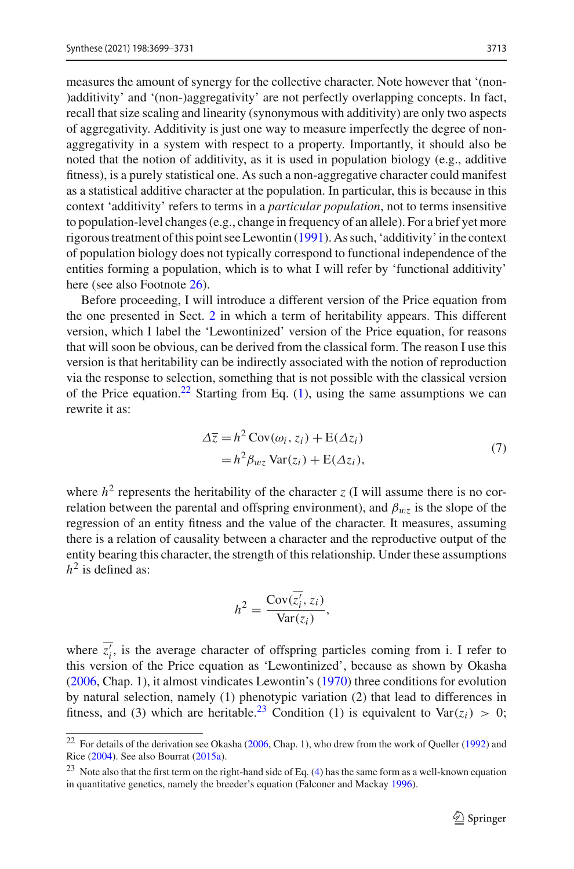measures the amount of synergy for the collective character. Note however that '(non- )additivity' and '(non-)aggregativity' are not perfectly overlapping concepts. In fact, recall that size scaling and linearity (synonymous with additivity) are only two aspects of aggregativity. Additivity is just one way to measure imperfectly the degree of nonaggregativity in a system with respect to a property. Importantly, it should also be noted that the notion of additivity, as it is used in population biology (e.g., additive fitness), is a purely statistical one. As such a non-aggregative character could manifest as a statistical additive character at the population. In particular, this is because in this context 'additivity' refers to terms in a *particular population*, not to terms insensitive to population-level changes (e.g., change in frequency of an allele). For a brief yet more rigorous treatment of this point see Lewonti[n](#page-30-19) [\(1991](#page-30-19)). As such, 'additivity' in the context of population biology does not typically correspond to functional independence of the entities forming a population, which is to what I will refer by 'functional additivity' here (see also Footnote [26\)](#page-17-0).

Before proceeding, I will introduce a different version of the Price equation from the one presented in Sect. [2](#page-3-3) in which a term of heritability appears. This different version, which I label the 'Lewontinized' version of the Price equation, for reasons that will soon be obvious, can be derived from the classical form. The reason I use this version is that heritability can be indirectly associated with the notion of reproduction via the response to selection, something that is not possible with the classical version of the Price equation.<sup>[22](#page-14-0)</sup> Starting from Eq. [\(1\)](#page-3-1), using the same assumptions we can rewrite it as:

<span id="page-14-2"></span>
$$
\Delta \overline{z} = h^2 \operatorname{Cov}(\omega_i, z_i) + \operatorname{E}(\Delta z_i)
$$
  
=  $h^2 \beta_{wz} \operatorname{Var}(z_i) + \operatorname{E}(\Delta z_i),$  (7)

where  $h^2$  represents the heritability of the character *z* (I will assume there is no correlation between the parental and offspring environment), and  $\beta_{wz}$  is the slope of the regression of an entity fitness and the value of the character. It measures, assuming there is a relation of causality between a character and the reproductive output of the entity bearing this character, the strength of this relationship. Under these assumptions  $h^2$  is defined as:

$$
h^{2} = \frac{\text{Cov}(\overline{z'_{i}}, z_{i})}{\text{Var}(z_{i})},
$$

where  $z_i'$ , is the average character of offspring particles coming from i. I refer to this version of the Price equation as 'Lewontinized', because as shown by Okasha [\(2006,](#page-31-3) Chap. 1), it almost vindicates Lewontin's [\(1970\)](#page-30-20) three conditions for evolution by natural selection, namely (1) phenotypic variation (2) that lead to differences in fitness, and (3) which are heritable.<sup>23</sup> Condition (1) is equivalent to Var( $z_i$ ) > 0;

<span id="page-14-0"></span><sup>&</sup>lt;sup>22</sup> For details of the derivation see Okasha [\(2006,](#page-31-3) Chap. 1), who d[r](#page-31-22)ew from the work of Queller [\(1992](#page-31-22)) and Ric[e](#page-31-23) [\(2004\)](#page-31-23). See also Bourra[t](#page-29-9) [\(2015a](#page-29-9)).

<span id="page-14-1"></span><sup>&</sup>lt;sup>23</sup> Note also that the first term on the right-hand side of Eq. [\(4\)](#page-4-5) has the same form as a well-known equation in quantitative genetics, namely the breeder's equation (Falconer and Macka[y](#page-29-14) [1996\)](#page-29-14).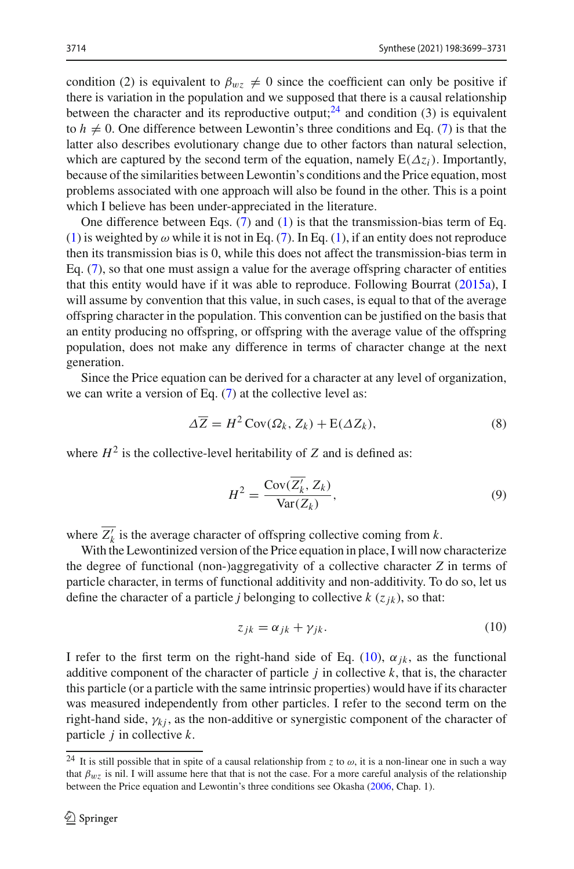condition (2) is equivalent to  $\beta_{wz} \neq 0$  since the coefficient can only be positive if there is variation in the population and we supposed that there is a causal relationship between the character and its reproductive output;<sup>[24](#page-15-0)</sup> and condition (3) is equivalent to  $h \neq 0$ . One difference between Lewontin's three conditions and Eq. [\(7\)](#page-14-2) is that the latter also describes evolutionary change due to other factors than natural selection, which are captured by the second term of the equation, namely  $E(\Delta z_i)$ . Importantly, because of the similarities between Lewontin's conditions and the Price equation, most problems associated with one approach will also be found in the other. This is a point which I believe has been under-appreciated in the literature.

One difference between Eqs.  $(7)$  and  $(1)$  is that the transmission-bias term of Eq. [\(1\)](#page-3-1) is weighted by  $\omega$  while it is not in Eq. [\(7\)](#page-14-2). In Eq. (1), if an entity does not reproduce then its transmission bias is 0, while this does not affect the transmission-bias term in Eq. [\(7\)](#page-14-2), so that one must assign a value for the average offspring character of entities that this entity would have if it was able to reproduce. Following Bourra[t](#page-29-9) [\(2015a](#page-29-9)), I will assume by convention that this value, in such cases, is equal to that of the average offspring character in the population. This convention can be justified on the basis that an entity producing no offspring, or offspring with the average value of the offspring population, does not make any difference in terms of character change at the next generation.

Since the Price equation can be derived for a character at any level of organization, we can write a version of Eq. [\(7\)](#page-14-2) at the collective level as:

<span id="page-15-2"></span>
$$
\Delta \overline{Z} = H^2 \text{Cov}(\Omega_k, Z_k) + \text{E}(\Delta Z_k),\tag{8}
$$

where  $H^2$  is the collective-level heritability of *Z* and is defined as:

<span id="page-15-3"></span>
$$
H^{2} = \frac{\text{Cov}(\overline{Z_{k}}^{T}, Z_{k})}{\text{Var}(Z_{k})},
$$
\n(9)

where  $Z'_{k}$  is the average character of offspring collective coming from *k*.

With the Lewontinized version of the Price equation in place, I will now characterize the degree of functional (non-)aggregativity of a collective character *Z* in terms of particle character, in terms of functional additivity and non-additivity. To do so, let us define the character of a particle *j* belonging to collective  $k$  ( $z_{ik}$ ), so that:

<span id="page-15-1"></span>
$$
z_{jk} = \alpha_{jk} + \gamma_{jk}.\tag{10}
$$

I refer to the first term on the right-hand side of Eq. [\(10\)](#page-15-1),  $\alpha_{jk}$ , as the functional additive component of the character of particle  $j$  in collective  $k$ , that is, the character this particle (or a particle with the same intrinsic properties) would have if its character was measured independently from other particles. I refer to the second term on the right-hand side,  $\gamma_{kj}$ , as the non-additive or synergistic component of the character of particle *j* in collective *k*.

<span id="page-15-0"></span><sup>&</sup>lt;sup>24</sup> It is still possible that in spite of a causal relationship from *z* to  $\omega$ , it is a non-linear one in such a way that  $\beta_{wz}$  is nil. I will assume here that that is not the case. For a more careful analysis of the relationship between the Price equation and Lewontin's three conditions see Okasha [\(2006,](#page-31-3) Chap. 1).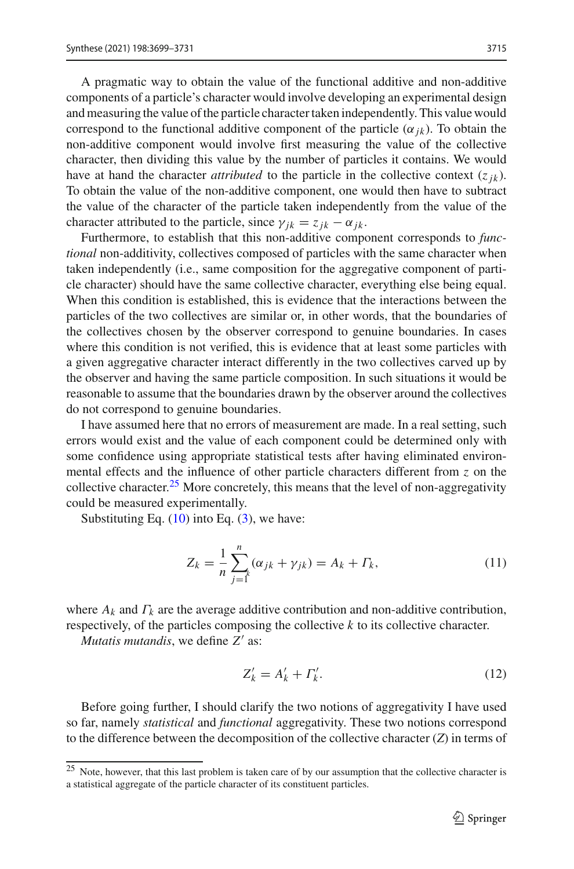A pragmatic way to obtain the value of the functional additive and non-additive components of a particle's character would involve developing an experimental design and measuring the value of the particle character taken independently. This value would correspond to the functional additive component of the particle  $(\alpha_{ik})$ . To obtain the non-additive component would involve first measuring the value of the collective character, then dividing this value by the number of particles it contains. We would have at hand the character *attributed* to the particle in the collective context  $(z_{ik})$ . To obtain the value of the non-additive component, one would then have to subtract the value of the character of the particle taken independently from the value of the character attributed to the particle, since  $\gamma_{ik} = z_{ik} - \alpha_{ik}$ .

Furthermore, to establish that this non-additive component corresponds to *functional* non-additivity, collectives composed of particles with the same character when taken independently (i.e., same composition for the aggregative component of particle character) should have the same collective character, everything else being equal. When this condition is established, this is evidence that the interactions between the particles of the two collectives are similar or, in other words, that the boundaries of the collectives chosen by the observer correspond to genuine boundaries. In cases where this condition is not verified, this is evidence that at least some particles with a given aggregative character interact differently in the two collectives carved up by the observer and having the same particle composition. In such situations it would be reasonable to assume that the boundaries drawn by the observer around the collectives do not correspond to genuine boundaries.

I have assumed here that no errors of measurement are made. In a real setting, such errors would exist and the value of each component could be determined only with some confidence using appropriate statistical tests after having eliminated environmental effects and the influence of other particle characters different from *z* on the collective character.<sup>[25](#page-16-0)</sup> More concretely, this means that the level of non-aggregativity could be measured experimentally.

Substituting Eq.  $(10)$  into Eq.  $(3)$ , we have:

<span id="page-16-1"></span>
$$
Z_k = \frac{1}{n} \sum_{j=1}^n (\alpha_{jk} + \gamma_{jk}) = A_k + \Gamma_k,
$$
 (11)

where  $A_k$  and  $\Gamma_k$  are the average additive contribution and non-additive contribution, respectively, of the particles composing the collective *k* to its collective character.

*Mutatis mutandis*, we define *Z'* as:

<span id="page-16-2"></span>
$$
Z'_k = A'_k + \Gamma'_k. \tag{12}
$$

Before going further, I should clarify the two notions of aggregativity I have used so far, namely *statistical* and *functional* aggregativity. These two notions correspond to the difference between the decomposition of the collective character (*Z*) in terms of

<span id="page-16-0"></span> $\frac{25}{25}$  Note, however, that this last problem is taken care of by our assumption that the collective character is a statistical aggregate of the particle character of its constituent particles.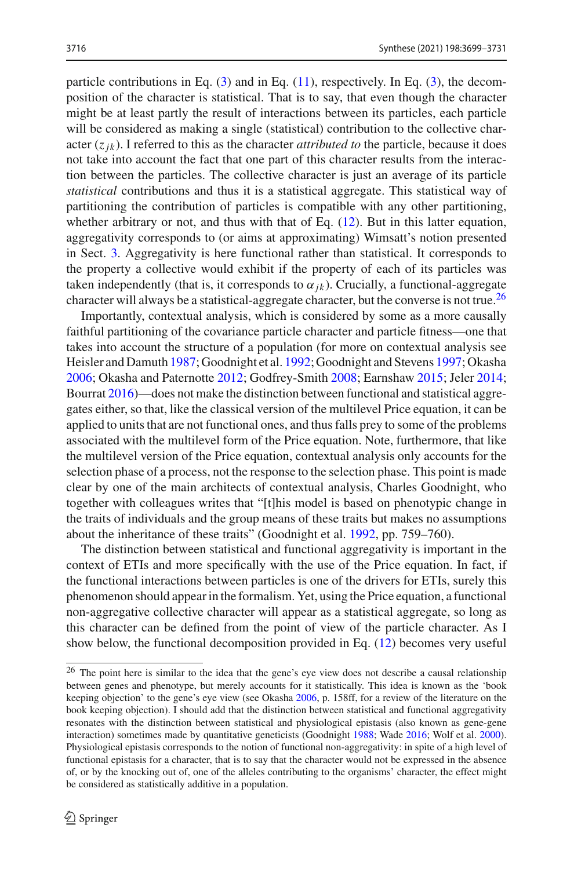particle contributions in Eq.  $(3)$  and in Eq.  $(11)$ , respectively. In Eq.  $(3)$ , the decomposition of the character is statistical. That is to say, that even though the character might be at least partly the result of interactions between its particles, each particle will be considered as making a single (statistical) contribution to the collective character  $(z_{ik})$ . I referred to this as the character *attributed to* the particle, because it does not take into account the fact that one part of this character results from the interaction between the particles. The collective character is just an average of its particle *statistical* contributions and thus it is a statistical aggregate. This statistical way of partitioning the contribution of particles is compatible with any other partitioning, whether arbitrary or not, and thus with that of Eq.  $(12)$ . But in this latter equation, aggregativity corresponds to (or aims at approximating) Wimsatt's notion presented in Sect. [3.](#page-8-0) Aggregativity is here functional rather than statistical. It corresponds to the property a collective would exhibit if the property of each of its particles was taken independently (that is, it corresponds to  $\alpha_{ik}$ ). Crucially, a functional-aggregate character will always be a statistical-aggregate character, but the converse is not true.<sup>26</sup>

Importantly, contextual analysis, which is considered by some as a more causally faithful partitioning of the covariance particle character and particle fitness—one that takes into account the structure of a population (for more on contextual analysis see Heisler and Damut[h](#page-30-8) [1987](#page-30-8); Goodnight et al[.](#page-30-21) [1992;](#page-30-21) Goodnight and Steven[s](#page-30-22) [1997;](#page-30-22) Okash[a](#page-31-3) [2006;](#page-31-3) Okasha and Paternott[e](#page-31-24) [2012](#page-31-24); Godfrey-Smit[h](#page-29-27) [2008](#page-29-27); Earnsha[w](#page-29-28) [2015;](#page-29-28) Jele[r](#page-30-23) [2014](#page-30-23); Bourra[t](#page-29-13) [2016\)](#page-29-13)—does not make the distinction between functional and statistical aggregates either, so that, like the classical version of the multilevel Price equation, it can be applied to units that are not functional ones, and thus falls prey to some of the problems associated with the multilevel form of the Price equation. Note, furthermore, that like the multilevel version of the Price equation, contextual analysis only accounts for the selection phase of a process, not the response to the selection phase. This point is made clear by one of the main architects of contextual analysis, Charles Goodnight, who together with colleagues writes that "[t]his model is based on phenotypic change in the traits of individuals and the group means of these traits but makes no assumptions about the inheritance of these traits" (Goodnight et al[.](#page-30-21) [1992,](#page-30-21) pp. 759–760).

The distinction between statistical and functional aggregativity is important in the context of ETIs and more specifically with the use of the Price equation. In fact, if the functional interactions between particles is one of the drivers for ETIs, surely this phenomenon should appear in the formalism. Yet, using the Price equation, a functional non-aggregative collective character will appear as a statistical aggregate, so long as this character can be defined from the point of view of the particle character. As I show below, the functional decomposition provided in Eq. [\(12\)](#page-16-2) becomes very useful

<span id="page-17-0"></span><sup>&</sup>lt;sup>26</sup> The point here is similar to the idea that the gene's eye view does not describe a causal relationship between genes and phenotype, but merely accounts for it statistically. This idea is known as the 'book keeping objection' to the gene's eye view (see Okash[a](#page-31-3) [2006,](#page-31-3) p. 158ff, for a review of the literature on the book keeping objection). I should add that the distinction between statistical and functional aggregativity resonates with the distinction between statistical and physiological epistasis (also known as gene-gene in[t](#page-30-24)eraction) sometimes made by quantitative geneticists (Goodnight [1988](#page-30-24); Wad[e](#page-31-25) [2016;](#page-31-25) Wolf et al[.](#page-32-3) [2000](#page-32-3)). Physiological epistasis corresponds to the notion of functional non-aggregativity: in spite of a high level of functional epistasis for a character, that is to say that the character would not be expressed in the absence of, or by the knocking out of, one of the alleles contributing to the organisms' character, the effect might be considered as statistically additive in a population.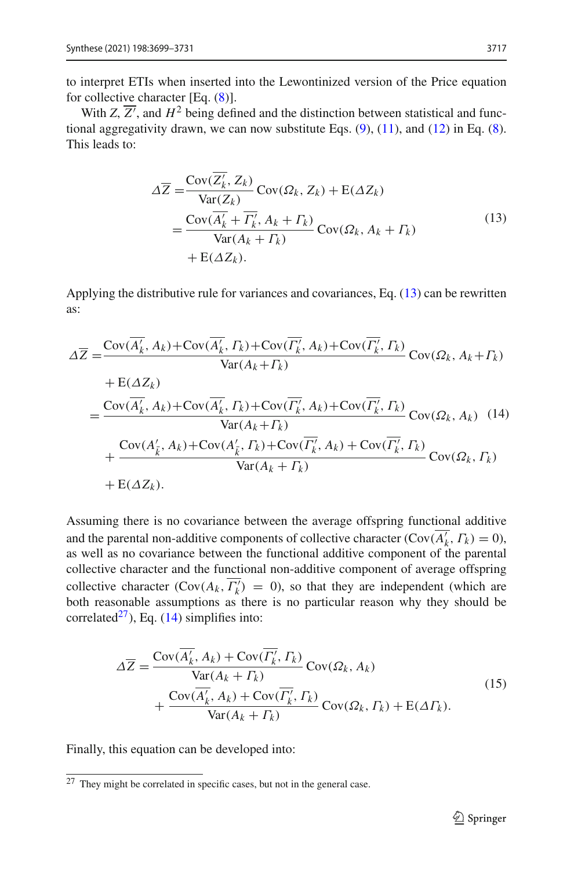to interpret ETIs when inserted into the Lewontinized version of the Price equation for collective character [Eq. [\(8\)](#page-15-2)].

With *Z*,  $\overline{Z'}$ , and  $H^2$  being defined and the distinction between statistical and functional aggregativity drawn, we can now substitute Eqs.  $(9)$ ,  $(11)$ , and  $(12)$  in Eq.  $(8)$ . This leads to:

<span id="page-18-0"></span>
$$
\Delta \overline{Z} = \frac{\text{Cov}(\overline{Z_k'}, Z_k)}{\text{Var}(Z_k)} \text{Cov}(\Omega_k, Z_k) + \text{E}(\Delta Z_k)
$$
  
= 
$$
\frac{\text{Cov}(\overline{A_k'} + \overline{\Gamma_k'}, A_k + \Gamma_k)}{\text{Var}(A_k + \Gamma_k)} \text{Cov}(\Omega_k, A_k + \Gamma_k)
$$
(13)  
+ 
$$
\text{E}(\Delta Z_k).
$$

Applying the distributive rule for variances and covariances, Eq. [\(13\)](#page-18-0) can be rewritten as:

<span id="page-18-2"></span>
$$
\Delta \overline{Z} = \frac{\text{Cov}(\overline{A'_k}, A_k) + \text{Cov}(\overline{A'_k}, \Gamma_k) + \text{Cov}(\overline{\Gamma'_k}, A_k) + \text{Cov}(\overline{\Gamma'_k}, \Gamma_k)}{\text{Var}(A_k + \Gamma_k)} \text{Cov}(\Omega_k, A_k + \Gamma_k) \n+ \text{E}(\Delta Z_k) \n= \frac{\text{Cov}(\overline{A'_k}, A_k) + \text{Cov}(\overline{A'_k}, \Gamma_k) + \text{Cov}(\overline{\Gamma'_k}, A_k) + \text{Cov}(\overline{\Gamma'_k}, \Gamma_k)}{\text{Var}(A_k + \Gamma_k)} \text{Cov}(\Omega_k, A_k) \quad (14) \n+ \frac{\text{Cov}(A'_k, A_k) + \text{Cov}(A'_k, \Gamma_k) + \text{Cov}(\overline{\Gamma'_k}, A_k) + \text{Cov}(\overline{\Gamma'_k}, \Gamma_k)}{\text{Var}(A_k + \Gamma_k)} \text{Cov}(\Omega_k, \Gamma_k) \n+ \text{E}(\Delta Z_k).
$$

Assuming there is no covariance between the average offspring functional additive and the parental non-additive components of collective character ( $Cov(A'_k, \Gamma_k) = 0$ ), as well as no covariance between the functional additive component of the parental collective character and the functional non-additive component of average offspring collective character  $(Cov(A_k, \Gamma'_k) = 0)$ , so that they are independent (which are both reasonable assumptions as there is no particular reason why they should be correlated $^{27}$ ), Eq. [\(14\)](#page-18-2) simplifies into:

$$
\Delta \overline{Z} = \frac{\text{Cov}(\overline{A'_k}, A_k) + \text{Cov}(\overline{\Gamma'_k}, \Gamma_k)}{\text{Var}(A_k + \Gamma_k)} \text{Cov}(\Omega_k, A_k) + \frac{\text{Cov}(\overline{A'_k}, A_k) + \text{Cov}(\overline{\Gamma'_k}, \Gamma_k)}{\text{Var}(A_k + \Gamma_k)} \text{Cov}(\Omega_k, \Gamma_k) + \text{E}(\Delta \Gamma_k). \tag{15}
$$

Finally, this equation can be developed into:

<span id="page-18-1"></span><sup>&</sup>lt;sup>27</sup> They might be correlated in specific cases, but not in the general case.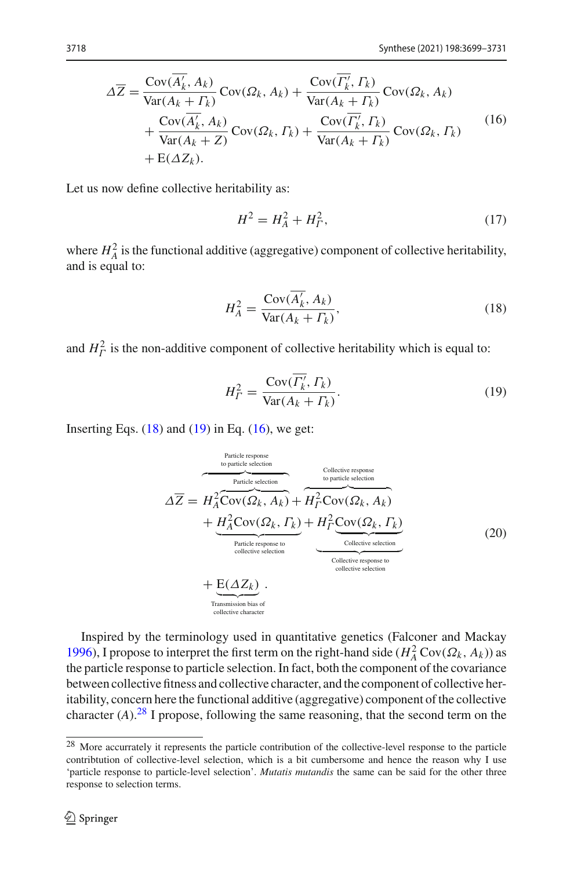<span id="page-19-2"></span>
$$
\Delta \overline{Z} = \frac{\text{Cov}(\overline{A'_k}, A_k)}{\text{Var}(A_k + \Gamma_k)} \text{Cov}(\Omega_k, A_k) + \frac{\text{Cov}(\overline{\Gamma'_k}, \Gamma_k)}{\text{Var}(A_k + \Gamma_k)} \text{Cov}(\Omega_k, A_k) + \frac{\text{Cov}(\overline{A'_k}, A_k)}{\text{Var}(A_k + Z)} \text{Cov}(\Omega_k, \Gamma_k) + \frac{\text{Cov}(\overline{\Gamma'_k}, \Gamma_k)}{\text{Var}(A_k + \Gamma_k)} \text{Cov}(\Omega_k, \Gamma_k) + \text{E}(\Delta Z_k).
$$
 (16)

Let us now define collective heritability as:

$$
H^2 = H_A^2 + H_\Gamma^2,\tag{17}
$$

where  $H_A^2$  is the functional additive (aggregative) component of collective heritability, and is equal to:

<span id="page-19-0"></span>
$$
H_A^2 = \frac{\text{Cov}(A'_k, A_k)}{\text{Var}(A_k + \Gamma_k)},\tag{18}
$$

and  $H^2_\Gamma$  is the non-additive component of collective heritability which is equal to:

<span id="page-19-1"></span>
$$
H_{\Gamma}^2 = \frac{\text{Cov}(\overline{\Gamma_k'}, \Gamma_k)}{\text{Var}(A_k + \Gamma_k)}.
$$
\n(19)

Inserting Eqs.  $(18)$  and  $(19)$  in Eq.  $(16)$ , we get:

<span id="page-19-4"></span>
$$
\Delta \overline{Z} = H_A^2 \overline{\text{Cov}(\Omega_k, A_k)} + \overline{H_F^2 \text{Cov}(\Omega_k, A_k)}
$$
\n
$$
+ \underbrace{H_A^2 \text{Cov}(\Omega_k, A_k)}_{\text{Particle response to}} + \underbrace{H_F^2 \text{Cov}(\Omega_k, A_k)}_{\text{Calculate response to}} + \underbrace{E(\Delta Z_k)}_{\text{Indective selection}}
$$
\n
$$
+ \underbrace{E(\Delta Z_k)}_{\text{Intransision bias ofcollective state}}.
$$
\n(20)

Inspired by the terminology used in quantitative genetics (Falconer and Macka[y](#page-29-14) [1996\)](#page-29-14), I propose to interpret the first term on the right-hand side ( $H_A^2$ Cov( $\Omega_k$ ,  $A_k$ )) as the particle response to particle selection. In fact, both the component of the covariance between collective fitness and collective character, and the component of collective heritability, concern here the functional additive (aggregative) component of the collective character (*A*).[28](#page-19-3) I propose, following the same reasoning, that the second term on the

<span id="page-19-3"></span><sup>&</sup>lt;sup>28</sup> More accurrately it represents the particle contribution of the collective-level response to the particle contribtution of collective-level selection, which is a bit cumbersome and hence the reason why I use 'particle response to particle-level selection'. *Mutatis mutandis* the same can be said for the other three response to selection terms.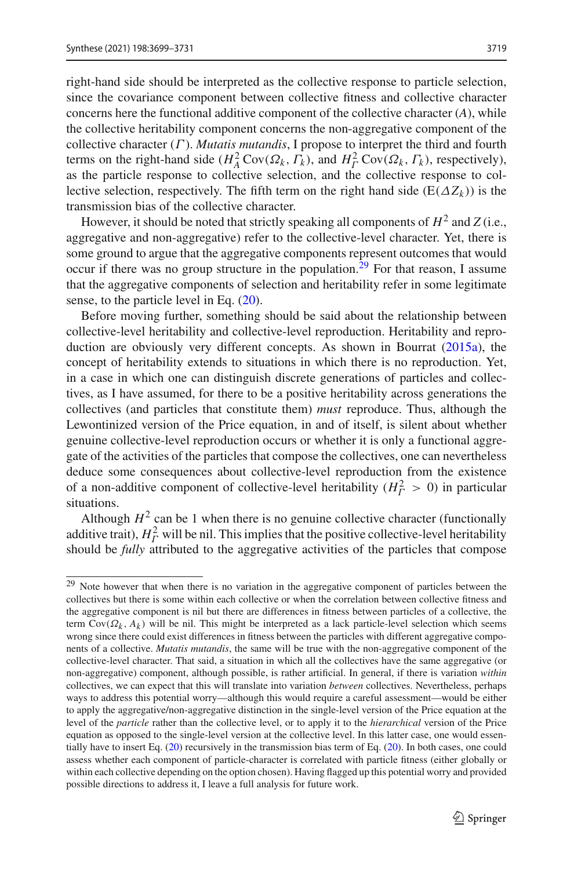right-hand side should be interpreted as the collective response to particle selection, since the covariance component between collective fitness and collective character concerns here the functional additive component of the collective character (*A*), while the collective heritability component concerns the non-aggregative component of the collective character (Γ ). *Mutatis mutandis*, I propose to interpret the third and fourth terms on the right-hand side  $(H_A^2 \text{Cov}(\Omega_k, \Gamma_k))$ , and  $H_\Gamma^2 \text{Cov}(\Omega_k, \Gamma_k)$ , respectively), as the particle response to collective selection, and the collective response to collective selection, respectively. The fifth term on the right hand side  $(E(\Delta Z_k))$  is the transmission bias of the collective character.

However, it should be noted that strictly speaking all components of  $H^2$  and *Z* (i.e., aggregative and non-aggregative) refer to the collective-level character. Yet, there is some ground to argue that the aggregative components represent outcomes that would occur if there was no group structure in the population.<sup>[29](#page-20-0)</sup> For that reason, I assume that the aggregative components of selection and heritability refer in some legitimate sense, to the particle level in Eq.  $(20)$ .

Before moving further, something should be said about the relationship between collective-level heritability and collective-level reproduction. Heritability and reproduction are obviously very different concepts. As shown in Bourra[t](#page-29-9) [\(2015a\)](#page-29-9), the concept of heritability extends to situations in which there is no reproduction. Yet, in a case in which one can distinguish discrete generations of particles and collectives, as I have assumed, for there to be a positive heritability across generations the collectives (and particles that constitute them) *must* reproduce. Thus, although the Lewontinized version of the Price equation, in and of itself, is silent about whether genuine collective-level reproduction occurs or whether it is only a functional aggregate of the activities of the particles that compose the collectives, one can nevertheless deduce some consequences about collective-level reproduction from the existence of a non-additive component of collective-level heritability  $(H^2_\Gamma > 0)$  in particular situations.

Although  $H^2$  can be 1 when there is no genuine collective character (functionally additive trait),  $H^2_\Gamma$  will be nil. This implies that the positive collective-level heritability should be *fully* attributed to the aggregative activities of the particles that compose

<span id="page-20-0"></span><sup>&</sup>lt;sup>29</sup> Note however that when there is no variation in the aggregative component of particles between the collectives but there is some within each collective or when the correlation between collective fitness and the aggregative component is nil but there are differences in fitness between particles of a collective, the term Cov( $\Omega_k$ ,  $A_k$ ) will be nil. This might be interpreted as a lack particle-level selection which seems wrong since there could exist differences in fitness between the particles with different aggregative components of a collective. *Mutatis mutandis*, the same will be true with the non-aggregative component of the collective-level character. That said, a situation in which all the collectives have the same aggregative (or non-aggregative) component, although possible, is rather artificial. In general, if there is variation *within* collectives, we can expect that this will translate into variation *between* collectives. Nevertheless, perhaps ways to address this potential worry—although this would require a careful assessment—would be either to apply the aggregative/non-aggregative distinction in the single-level version of the Price equation at the level of the *particle* rather than the collective level, or to apply it to the *hierarchical* version of the Price equation as opposed to the single-level version at the collective level. In this latter case, one would essentially have to insert Eq. [\(20\)](#page-19-4) recursively in the transmission bias term of Eq. [\(20\)](#page-19-4). In both cases, one could assess whether each component of particle-character is correlated with particle fitness (either globally or within each collective depending on the option chosen). Having flagged up this potential worry and provided possible directions to address it, I leave a full analysis for future work.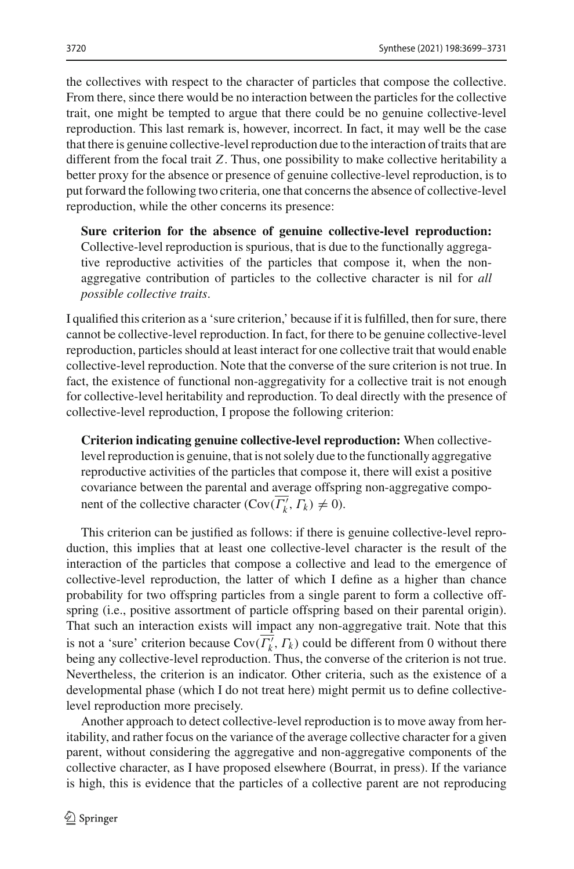the collectives with respect to the character of particles that compose the collective. From there, since there would be no interaction between the particles for the collective trait, one might be tempted to argue that there could be no genuine collective-level reproduction. This last remark is, however, incorrect. In fact, it may well be the case that there is genuine collective-level reproduction due to the interaction of traits that are different from the focal trait *Z*. Thus, one possibility to make collective heritability a better proxy for the absence or presence of genuine collective-level reproduction, is to put forward the following two criteria, one that concerns the absence of collective-level reproduction, while the other concerns its presence:

**Sure criterion for the absence of genuine collective-level reproduction:** Collective-level reproduction is spurious, that is due to the functionally aggregative reproductive activities of the particles that compose it, when the nonaggregative contribution of particles to the collective character is nil for *all possible collective traits*.

I qualified this criterion as a 'sure criterion,' because if it is fulfilled, then for sure, there cannot be collective-level reproduction. In fact, for there to be genuine collective-level reproduction, particles should at least interact for one collective trait that would enable collective-level reproduction. Note that the converse of the sure criterion is not true. In fact, the existence of functional non-aggregativity for a collective trait is not enough for collective-level heritability and reproduction. To deal directly with the presence of collective-level reproduction, I propose the following criterion:

**Criterion indicating genuine collective-level reproduction:** When collectivelevel reproduction is genuine, that is not solely due to the functionally aggregative reproductive activities of the particles that compose it, there will exist a positive covariance between the parental and average offspring non-aggregative component of the collective character ( $Cov(\Gamma_k', \Gamma_k) \neq 0$ ).

This criterion can be justified as follows: if there is genuine collective-level reproduction, this implies that at least one collective-level character is the result of the interaction of the particles that compose a collective and lead to the emergence of collective-level reproduction, the latter of which I define as a higher than chance probability for two offspring particles from a single parent to form a collective offspring (i.e., positive assortment of particle offspring based on their parental origin). That such an interaction exists will impact any non-aggregative trait. Note that this is not a 'sure' criterion because  $Cov(\Gamma'_k, \Gamma_k)$  could be different from 0 without there being any collective-level reproduction. Thus, the converse of the criterion is not true. Nevertheless, the criterion is an indicator. Other criteria, such as the existence of a developmental phase (which I do not treat here) might permit us to define collectivelevel reproduction more precisely.

Another approach to detect collective-level reproduction is to move away from heritability, and rather focus on the variance of the average collective character for a given parent, without considering the aggregative and non-aggregative components of the collective character, as I have proposed elsewhere (Bourrat, in press). If the variance is high, this is evidence that the particles of a collective parent are not reproducing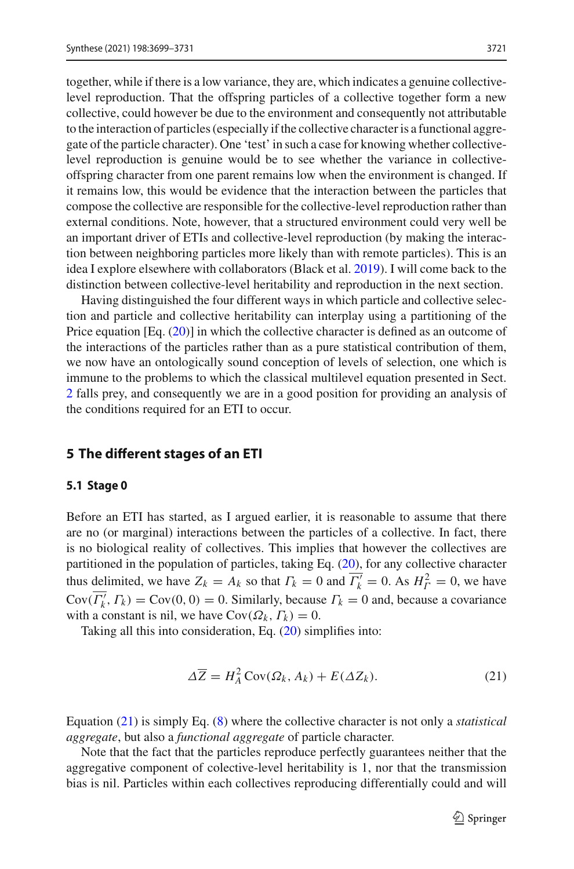together, while if there is a low variance, they are, which indicates a genuine collectivelevel reproduction. That the offspring particles of a collective together form a new collective, could however be due to the environment and consequently not attributable to the interaction of particles (especially if the collective character is a functional aggregate of the particle character). One 'test' in such a case for knowing whether collectivelevel reproduction is genuine would be to see whether the variance in collectiveoffspring character from one parent remains low when the environment is changed. If it remains low, this would be evidence that the interaction between the particles that compose the collective are responsible for the collective-level reproduction rather than external conditions. Note, however, that a structured environment could very well be an important driver of ETIs and collective-level reproduction (by making the interaction between neighboring particles more likely than with remote particles). This is an idea I explore elsewhere with collaborators (Black et al[.](#page-29-29) [2019](#page-29-29)). I will come back to the distinction between collective-level heritability and reproduction in the next section.

Having distinguished the four different ways in which particle and collective selection and particle and collective heritability can interplay using a partitioning of the Price equation [Eq. [\(20\)](#page-19-4)] in which the collective character is defined as an outcome of the interactions of the particles rather than as a pure statistical contribution of them, we now have an ontologically sound conception of levels of selection, one which is immune to the problems to which the classical multilevel equation presented in Sect. [2](#page-3-3) falls prey, and consequently we are in a good position for providing an analysis of the conditions required for an ETI to occur.

# <span id="page-22-0"></span>**5 The different stages of an ETI**

#### **5.1 Stage 0**

Before an ETI has started, as I argued earlier, it is reasonable to assume that there are no (or marginal) interactions between the particles of a collective. In fact, there is no biological reality of collectives. This implies that however the collectives are partitioned in the population of particles, taking Eq. [\(20\)](#page-19-4), for any collective character thus delimited, we have  $Z_k = A_k$  so that  $\Gamma_k = 0$  and  $\overline{\Gamma_k'} = 0$ . As  $H_\Gamma^2 = 0$ , we have  $Cov(\Gamma_k', \Gamma_k) = Cov(0, 0) = 0$ . Similarly, because  $\Gamma_k = 0$  and, because a covariance with a constant is nil, we have  $Cov(\Omega_k, \Gamma_k) = 0$ .

Taking all this into consideration, Eq. [\(20\)](#page-19-4) simplifies into:

<span id="page-22-1"></span>
$$
\Delta \overline{Z} = H_A^2 \text{Cov}(\Omega_k, A_k) + E(\Delta Z_k). \tag{21}
$$

Equation [\(21\)](#page-22-1) is simply Eq. [\(8\)](#page-15-2) where the collective character is not only a *statistical aggregate*, but also a *functional aggregate* of particle character.

Note that the fact that the particles reproduce perfectly guarantees neither that the aggregative component of colective-level heritability is 1, nor that the transmission bias is nil. Particles within each collectives reproducing differentially could and will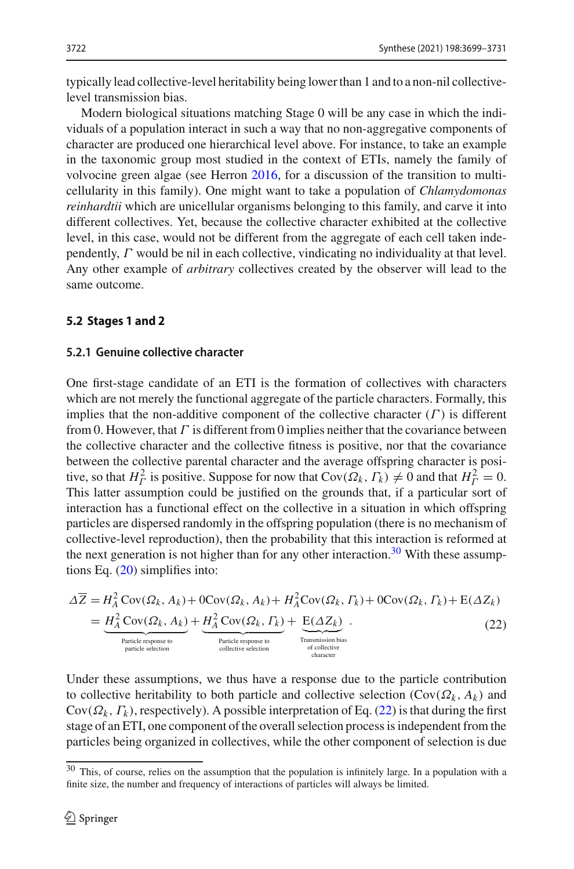typically lead collective-level heritability being lower than 1 and to a non-nil collectivelevel transmission bias.

Modern biological situations matching Stage 0 will be any case in which the individuals of a population interact in such a way that no non-aggregative components of character are produced one hierarchical level above. For instance, to take an example in the taxonomic group most studied in the context of ETIs, namely the family of volvocine green algae (see Herro[n](#page-30-25) [2016,](#page-30-25) for a discussion of the transition to multicellularity in this family). One might want to take a population of *Chlamydomonas reinhardtii* which are unicellular organisms belonging to this family, and carve it into different collectives. Yet, because the collective character exhibited at the collective level, in this case, would not be different from the aggregate of each cell taken independently,  $\Gamma$  would be nil in each collective, vindicating no individuality at that level. Any other example of *arbitrary* collectives created by the observer will lead to the same outcome.

#### **5.2 Stages 1 and 2**

### <span id="page-23-2"></span>**5.2.1 Genuine collective character**

One first-stage candidate of an ETI is the formation of collectives with characters which are not merely the functional aggregate of the particle characters. Formally, this implies that the non-additive component of the collective character  $(\Gamma)$  is different from 0. However, that  $\Gamma$  is different from 0 implies neither that the covariance between the collective character and the collective fitness is positive, nor that the covariance between the collective parental character and the average offspring character is positive, so that  $H^2_\Gamma$  is positive. Suppose for now that  $Cov(\Omega_k, \Gamma_k) \neq 0$  and that  $H^2_\Gamma = 0$ . This latter assumption could be justified on the grounds that, if a particular sort of interaction has a functional effect on the collective in a situation in which offspring particles are dispersed randomly in the offspring population (there is no mechanism of collective-level reproduction), then the probability that this interaction is reformed at the next generation is not higher than for any other interaction.<sup>30</sup> With these assumptions Eq.  $(20)$  simplifies into:

<span id="page-23-1"></span>
$$
\Delta \overline{Z} = H_A^2 \operatorname{Cov}(\Omega_k, A_k) + \operatorname{OCov}(\Omega_k, A_k) + H_A^2 \operatorname{Cov}(\Omega_k, \Gamma_k) + \operatorname{OCov}(\Omega_k, \Gamma_k) + \operatorname{E}(\Delta Z_k)
$$
\n
$$
= \underbrace{H_A^2 \operatorname{Cov}(\Omega_k, A_k)}_{\text{Particle response to}} + \underbrace{H_A^2 \operatorname{Cov}(\Omega_k, \Gamma_k)}_{\text{Particle response to}} + \underbrace{E(\Delta Z_k)}_{\text{transmission bias}}.
$$
\n(22)

Under these assumptions, we thus have a response due to the particle contribution to collective heritability to both particle and collective selection ( $Cov(\Omega_k, A_k)$ ) and Cov( $\Omega_k$ ,  $\Gamma_k$ ), respectively). A possible interpretation of Eq. [\(22\)](#page-23-1) is that during the first stage of an ETI, one component of the overall selection process is independent from the particles being organized in collectives, while the other component of selection is due

<span id="page-23-0"></span><sup>30</sup> This, of course, relies on the assumption that the population is infinitely large. In a population with a finite size, the number and frequency of interactions of particles will always be limited.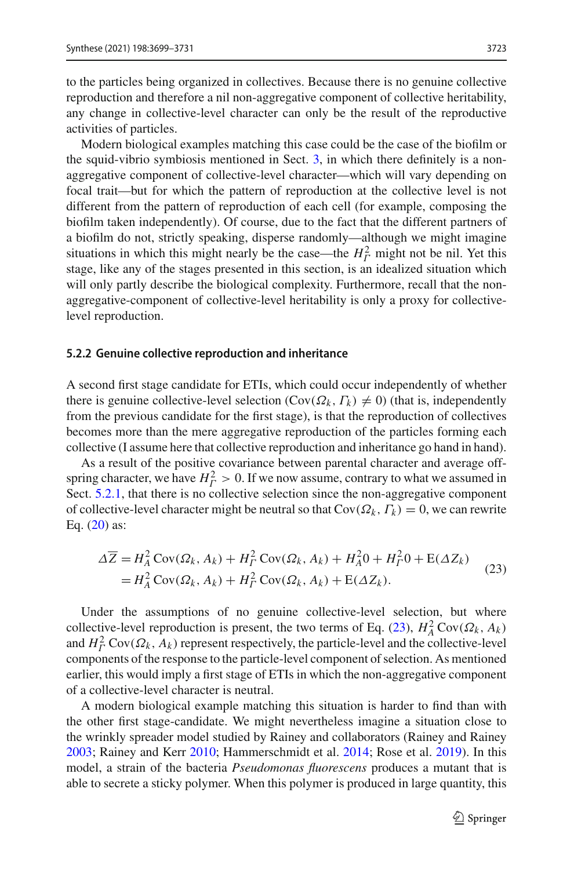to the particles being organized in collectives. Because there is no genuine collective reproduction and therefore a nil non-aggregative component of collective heritability, any change in collective-level character can only be the result of the reproductive activities of particles.

Modern biological examples matching this case could be the case of the biofilm or the squid-vibrio symbiosis mentioned in Sect. [3,](#page-8-0) in which there definitely is a nonaggregative component of collective-level character—which will vary depending on focal trait—but for which the pattern of reproduction at the collective level is not different from the pattern of reproduction of each cell (for example, composing the biofilm taken independently). Of course, due to the fact that the different partners of a biofilm do not, strictly speaking, disperse randomly—although we might imagine situations in which this might nearly be the case—the  $H^2_\Gamma$  might not be nil. Yet this stage, like any of the stages presented in this section, is an idealized situation which will only partly describe the biological complexity. Furthermore, recall that the nonaggregative-component of collective-level heritability is only a proxy for collectivelevel reproduction.

#### <span id="page-24-1"></span>**5.2.2 Genuine collective reproduction and inheritance**

A second first stage candidate for ETIs, which could occur independently of whether there is genuine collective-level selection ( $Cov(\Omega_k, \Gamma_k) \neq 0$ ) (that is, independently from the previous candidate for the first stage), is that the reproduction of collectives becomes more than the mere aggregative reproduction of the particles forming each collective (I assume here that collective reproduction and inheritance go hand in hand).

As a result of the positive covariance between parental character and average offspring character, we have  $H^2_\Gamma > 0$ . If we now assume, contrary to what we assumed in Sect. [5.2.1,](#page-23-2) that there is no collective selection since the non-aggregative component of collective-level character might be neutral so that  $Cov(\Omega_k, \Gamma_k) = 0$ , we can rewrite Eq.  $(20)$  as:

<span id="page-24-0"></span>
$$
\Delta \overline{Z} = H_A^2 \operatorname{Cov}(\Omega_k, A_k) + H_\Gamma^2 \operatorname{Cov}(\Omega_k, A_k) + H_A^2 0 + H_\Gamma^2 0 + \operatorname{E}(\Delta Z_k)
$$
  
=  $H_A^2 \operatorname{Cov}(\Omega_k, A_k) + H_\Gamma^2 \operatorname{Cov}(\Omega_k, A_k) + \operatorname{E}(\Delta Z_k).$  (23)

Under the assumptions of no genuine collective-level selection, but where collective-level reproduction is present, the two terms of Eq. [\(23\)](#page-24-0),  $H_A^2 \text{Cov}(\Omega_k, A_k)$ and  $H^2_\Gamma$  Cov( $\Omega_k$ ,  $A_k$ ) represent respectively, the particle-level and the collective-level components of the response to the particle-level component of selection. As mentioned earlier, this would imply a first stage of ETIs in which the non-aggregative component of a collective-level character is neutral.

A modern biological example matching this situation is harder to find than with the other first stage-candidate. We might nevertheless imagine a situation close to the wrinkly spreader model studied by Rainey and collaborators (Rainey and Raine[y](#page-31-26) [2003;](#page-31-26) Rainey and Ker[r](#page-31-27) [2010](#page-31-27); Hammerschmidt et al[.](#page-30-26) [2014;](#page-30-26) Rose et al[.](#page-31-28) [2019\)](#page-31-28). In this model, a strain of the bacteria *Pseudomonas fluorescens* produces a mutant that is able to secrete a sticky polymer. When this polymer is produced in large quantity, this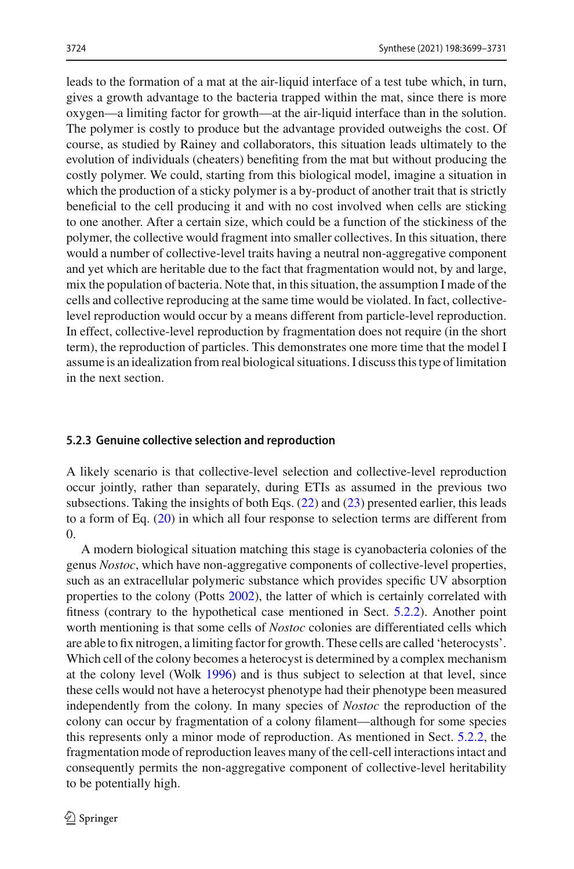leads to the formation of a mat at the air-liquid interface of a test tube which, in turn, gives a growth advantage to the bacteria trapped within the mat, since there is more oxygen—a limiting factor for growth—at the air-liquid interface than in the solution. The polymer is costly to produce but the advantage provided outweighs the cost. Of course, as studied by Rainey and collaborators, this situation leads ultimately to the evolution of individuals (cheaters) benefiting from the mat but without producing the costly polymer. We could, starting from this biological model, imagine a situation in which the production of a sticky polymer is a by-product of another trait that is strictly beneficial to the cell producing it and with no cost involved when cells are sticking to one another. After a certain size, which could be a function of the stickiness of the polymer, the collective would fragment into smaller collectives. In this situation, there would a number of collective-level traits having a neutral non-aggregative component and yet which are heritable due to the fact that fragmentation would not, by and large, mix the population of bacteria. Note that, in this situation, the assumption I made of the cells and collective reproducing at the same time would be violated. In fact, collectivelevel reproduction would occur by a means different from particle-level reproduction. In effect, collective-level reproduction by fragmentation does not require (in the short term), the reproduction of particles. This demonstrates one more time that the model I assume is an idealization from real biological situations. I discuss this type of limitation in the next section.

#### **5.2.3 Genuine collective selection and reproduction**

A likely scenario is that collective-level selection and collective-level reproduction occur jointly, rather than separately, during ETIs as assumed in the previous two subsections. Taking the insights of both Eqs. [\(22\)](#page-23-1) and [\(23\)](#page-24-0) presented earlier, this leads to a form of Eq. [\(20\)](#page-19-4) in which all four response to selection terms are different from 0.

A modern biological situation matching this stage is cyanobacteria colonies of the genus *Nostoc*, which have non-aggregative components of collective-level properties, such as an extracellular polymeric substance which provides specific UV absorption properties to the colony (Pott[s](#page-31-29) [2002\)](#page-31-29), the latter of which is certainly correlated with fitness (contrary to the hypothetical case mentioned in Sect. [5.2.2\)](#page-24-1). Another point worth mentioning is that some cells of *Nostoc* colonies are differentiated cells which are able to fix nitrogen, a limiting factor for growth. These cells are called 'heterocysts'. Which cell of the colony becomes a heterocyst is determined by a complex mechanism at the colony level (Wol[k](#page-32-4) [1996\)](#page-32-4) and is thus subject to selection at that level, since these cells would not have a heterocyst phenotype had their phenotype been measured independently from the colony. In many species of *Nostoc* the reproduction of the colony can occur by fragmentation of a colony filament—although for some species this represents only a minor mode of reproduction. As mentioned in Sect. [5.2.2,](#page-24-1) the fragmentation mode of reproduction leaves many of the cell-cell interactions intact and consequently permits the non-aggregative component of collective-level heritability to be potentially high.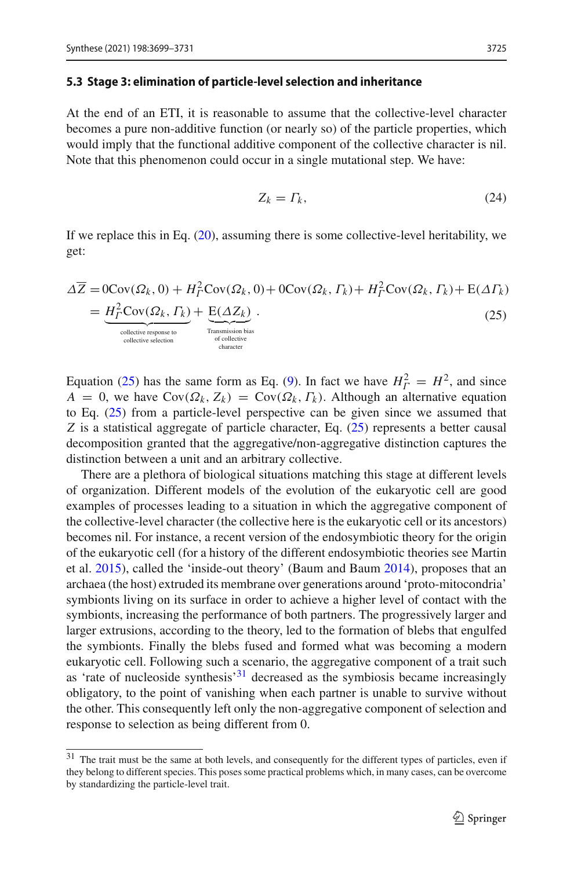#### **5.3 Stage 3: elimination of particle-level selection and inheritance**

At the end of an ETI, it is reasonable to assume that the collective-level character becomes a pure non-additive function (or nearly so) of the particle properties, which would imply that the functional additive component of the collective character is nil. Note that this phenomenon could occur in a single mutational step. We have:

$$
Z_k = \Gamma_k,\tag{24}
$$

If we replace this in Eq.  $(20)$ , assuming there is some collective-level heritability, we get:

<span id="page-26-0"></span>
$$
\Delta \overline{Z} = 0 \text{Cov}(\Omega_k, 0) + H_\Gamma^2 \text{Cov}(\Omega_k, 0) + 0 \text{Cov}(\Omega_k, \Gamma_k) + H_\Gamma^2 \text{Cov}(\Omega_k, \Gamma_k) + \text{E}(\Delta \Gamma_k)
$$
\n
$$
= \underbrace{H_\Gamma^2 \text{Cov}(\Omega_k, \Gamma_k)}_{\text{collective response to}\atop \text{colorive selection}} + \underbrace{\text{E}(\Delta Z_k)}_{\text{of collective selection}}.
$$
\n(25)

Equation [\(25\)](#page-26-0) has the same form as Eq. [\(9\)](#page-15-3). In fact we have  $H^2 = H^2$ , and since  $A = 0$ , we have  $Cov(\Omega_k, Z_k) = Cov(\Omega_k, \Gamma_k)$ . Although an alternative equation to Eq. [\(25\)](#page-26-0) from a particle-level perspective can be given since we assumed that *Z* is a statistical aggregate of particle character, Eq. [\(25\)](#page-26-0) represents a better causal decomposition granted that the aggregative/non-aggregative distinction captures the distinction between a unit and an arbitrary collective.

There are a plethora of biological situations matching this stage at different levels of organization. Different models of the evolution of the eukaryotic cell are good examples of processes leading to a situation in which the aggregative component of the collective-level character (the collective here is the eukaryotic cell or its ancestors) becomes nil. For instance, a recent version of the endosymbiotic theory for the origin of the eukaryotic cell (for a history of the different endosymbiotic theories see Martin et al[.](#page-30-27) [2015](#page-30-27)), called the 'inside-out theory' (Baum and Bau[m](#page-29-30) [2014](#page-29-30)), proposes that an archaea (the host) extruded its membrane over generations around 'proto-mitocondria' symbionts living on its surface in order to achieve a higher level of contact with the symbionts, increasing the performance of both partners. The progressively larger and larger extrusions, according to the theory, led to the formation of blebs that engulfed the symbionts. Finally the blebs fused and formed what was becoming a modern eukaryotic cell. Following such a scenario, the aggregative component of a trait such as 'rate of nucleoside synthesis'<sup>[31](#page-26-1)</sup> decreased as the symbiosis became increasingly obligatory, to the point of vanishing when each partner is unable to survive without the other. This consequently left only the non-aggregative component of selection and response to selection as being different from 0.

<span id="page-26-1"></span><sup>31</sup> The trait must be the same at both levels, and consequently for the different types of particles, even if they belong to different species. This poses some practical problems which, in many cases, can be overcome by standardizing the particle-level trait.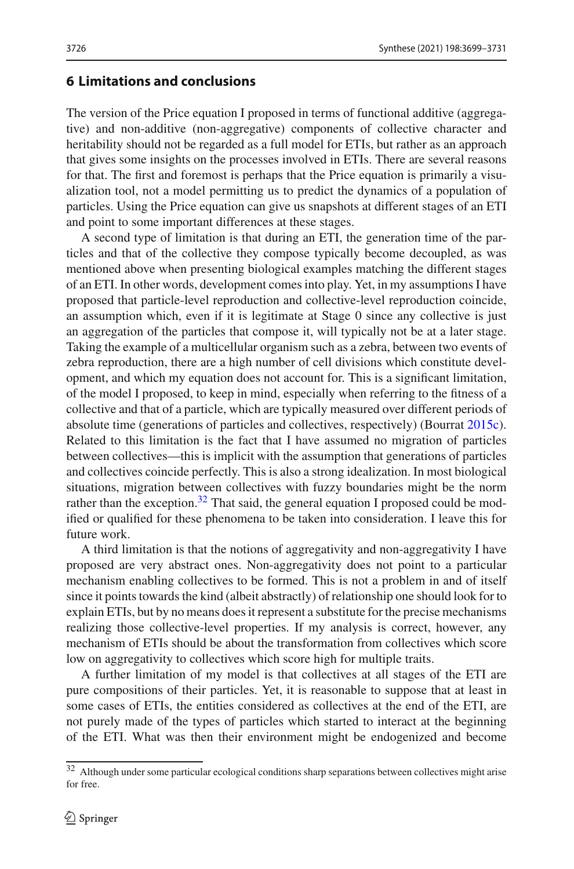# **6 Limitations and conclusions**

The version of the Price equation I proposed in terms of functional additive (aggregative) and non-additive (non-aggregative) components of collective character and heritability should not be regarded as a full model for ETIs, but rather as an approach that gives some insights on the processes involved in ETIs. There are several reasons for that. The first and foremost is perhaps that the Price equation is primarily a visualization tool, not a model permitting us to predict the dynamics of a population of particles. Using the Price equation can give us snapshots at different stages of an ETI and point to some important differences at these stages.

A second type of limitation is that during an ETI, the generation time of the particles and that of the collective they compose typically become decoupled, as was mentioned above when presenting biological examples matching the different stages of an ETI. In other words, development comes into play. Yet, in my assumptions I have proposed that particle-level reproduction and collective-level reproduction coincide, an assumption which, even if it is legitimate at Stage 0 since any collective is just an aggregation of the particles that compose it, will typically not be at a later stage. Taking the example of a multicellular organism such as a zebra, between two events of zebra reproduction, there are a high number of cell divisions which constitute development, and which my equation does not account for. This is a significant limitation, of the model I proposed, to keep in mind, especially when referring to the fitness of a collective and that of a particle, which are typically measured over different periods of absolute time (generations of particles and collectives, respectively) (Bourra[t](#page-29-26) [2015c](#page-29-26)). Related to this limitation is the fact that I have assumed no migration of particles between collectives—this is implicit with the assumption that generations of particles and collectives coincide perfectly. This is also a strong idealization. In most biological situations, migration between collectives with fuzzy boundaries might be the norm rather than the exception.<sup>[32](#page-27-0)</sup> That said, the general equation I proposed could be modified or qualified for these phenomena to be taken into consideration. I leave this for future work.

A third limitation is that the notions of aggregativity and non-aggregativity I have proposed are very abstract ones. Non-aggregativity does not point to a particular mechanism enabling collectives to be formed. This is not a problem in and of itself since it points towards the kind (albeit abstractly) of relationship one should look for to explain ETIs, but by no means does it represent a substitute for the precise mechanisms realizing those collective-level properties. If my analysis is correct, however, any mechanism of ETIs should be about the transformation from collectives which score low on aggregativity to collectives which score high for multiple traits.

A further limitation of my model is that collectives at all stages of the ETI are pure compositions of their particles. Yet, it is reasonable to suppose that at least in some cases of ETIs, the entities considered as collectives at the end of the ETI, are not purely made of the types of particles which started to interact at the beginning of the ETI. What was then their environment might be endogenized and become

<span id="page-27-0"></span>Although under some particular ecological conditions sharp separations between collectives might arise for free.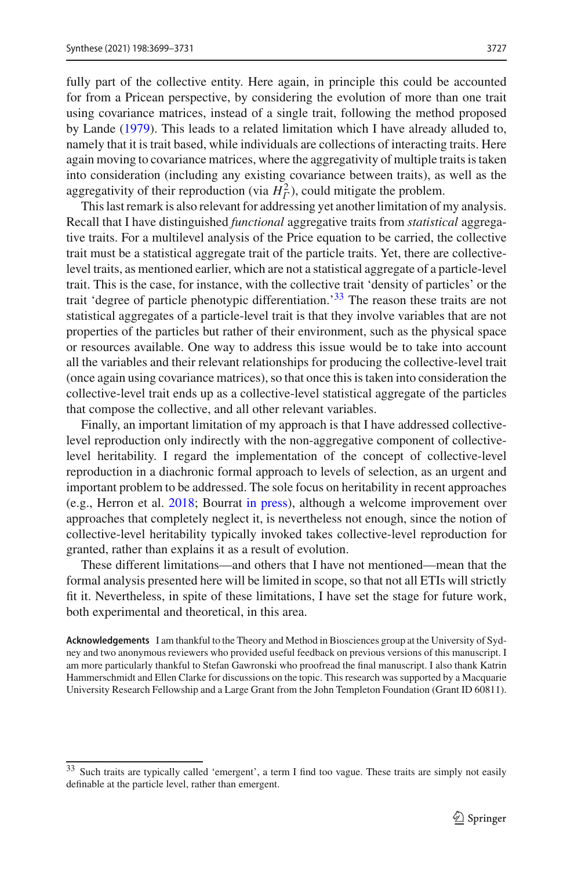fully part of the collective entity. Here again, in principle this could be accounted for from a Pricean perspective, by considering the evolution of more than one trait using covariance matrices, instead of a single trait, following the method proposed by Land[e](#page-30-28) [\(1979\)](#page-30-28). This leads to a related limitation which I have already alluded to, namely that it is trait based, while individuals are collections of interacting traits. Here again moving to covariance matrices, where the aggregativity of multiple traits is taken into consideration (including any existing covariance between traits), as well as the aggregativity of their reproduction (via  $H^2$ ), could mitigate the problem.

This last remark is also relevant for addressing yet another limitation of my analysis. Recall that I have distinguished *functional* aggregative traits from *statistical* aggregative traits. For a multilevel analysis of the Price equation to be carried, the collective trait must be a statistical aggregate trait of the particle traits. Yet, there are collectivelevel traits, as mentioned earlier, which are not a statistical aggregate of a particle-level trait. This is the case, for instance, with the collective trait 'density of particles' or the trait 'degree of particle phenotypic differentiation.<sup>33</sup> The reason these traits are not statistical aggregates of a particle-level trait is that they involve variables that are not properties of the particles but rather of their environment, such as the physical space or resources available. One way to address this issue would be to take into account all the variables and their relevant relationships for producing the collective-level trait (once again using covariance matrices), so that once this is taken into consideration the collective-level trait ends up as a collective-level statistical aggregate of the particles that compose the collective, and all other relevant variables.

Finally, an important limitation of my approach is that I have addressed collectivelevel reproduction only indirectly with the non-aggregative component of collectivelevel heritability. I regard the implementation of the concept of collective-level reproduction in a diachronic formal approach to levels of selection, as an urgent and important problem to be addressed. The sole focus on heritability in recent approaches (e.g., Herron et al[.](#page-30-29) [2018](#page-30-29); Bourra[t](#page-29-31) [in press](#page-29-31)), although a welcome improvement over approaches that completely neglect it, is nevertheless not enough, since the notion of collective-level heritability typically invoked takes collective-level reproduction for granted, rather than explains it as a result of evolution.

These different limitations—and others that I have not mentioned—mean that the formal analysis presented here will be limited in scope, so that not all ETIs will strictly fit it. Nevertheless, in spite of these limitations, I have set the stage for future work, both experimental and theoretical, in this area.

**Acknowledgements** I am thankful to the Theory and Method in Biosciences group at the University of Sydney and two anonymous reviewers who provided useful feedback on previous versions of this manuscript. I am more particularly thankful to Stefan Gawronski who proofread the final manuscript. I also thank Katrin Hammerschmidt and Ellen Clarke for discussions on the topic. This research was supported by a Macquarie University Research Fellowship and a Large Grant from the John Templeton Foundation (Grant ID 60811).

<span id="page-28-0"></span><sup>33</sup> Such traits are typically called 'emergent', a term I find too vague. These traits are simply not easily definable at the particle level, rather than emergent.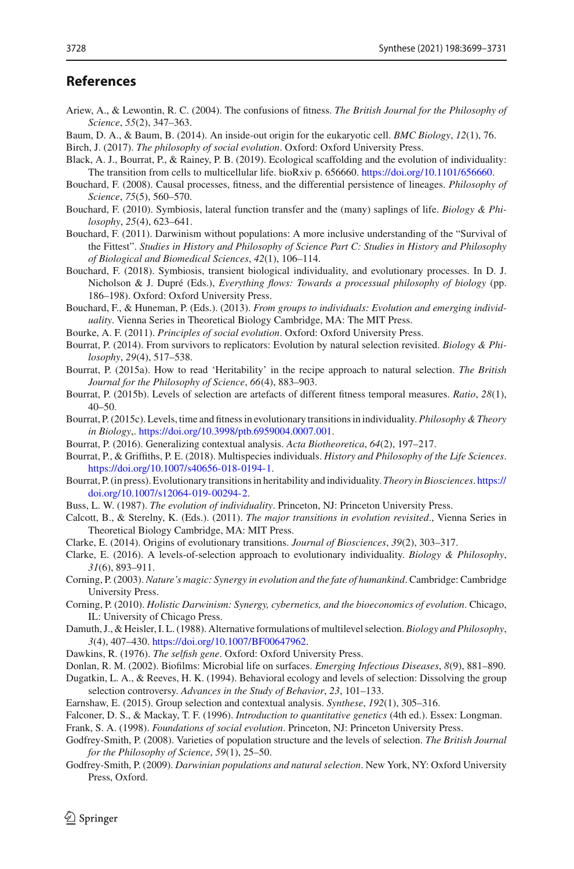# **References**

- <span id="page-29-25"></span>Ariew, A., & Lewontin, R. C. (2004). The confusions of fitness. *The British Journal for the Philosophy of Science*, *55*(2), 347–363.
- <span id="page-29-30"></span>Baum, D. A., & Baum, B. (2014). An inside-out origin for the eukaryotic cell. *BMC Biology*, *12*(1), 76.

<span id="page-29-10"></span>Birch, J. (2017). *The philosophy of social evolution*. Oxford: Oxford University Press.

- <span id="page-29-29"></span>Black, A. J., Bourrat, P., & Rainey, P. B. (2019). Ecological scaffolding and the evolution of individuality: The transition from cells to multicellular life. bioRxiv p. 656660. [https://doi.org/10.1101/656660.](https://doi.org/10.1101/656660)
- <span id="page-29-16"></span>Bouchard, F. (2008). Causal processes, fitness, and the differential persistence of lineages. *Philosophy of Science*, *75*(5), 560–570.
- <span id="page-29-23"></span>Bouchard, F. (2010). Symbiosis, lateral function transfer and the (many) saplings of life. *Biology & Philosophy*, *25*(4), 623–641.
- <span id="page-29-17"></span>Bouchard, F. (2011). Darwinism without populations: A more inclusive understanding of the "Survival of the Fittest". *Studies in History and Philosophy of Science Part C: Studies in History and Philosophy of Biological and Biomedical Sciences*, *42*(1), 106–114.
- <span id="page-29-24"></span>Bouchard, F. (2018). Symbiosis, transient biological individuality, and evolutionary processes. In D. J. Nicholson & J. Dupré (Eds.), *Everything flows: Towards a processual philosophy of biology* (pp. 186–198). Oxford: Oxford University Press.
- <span id="page-29-2"></span>Bouchard, F., & Huneman, P. (Eds.). (2013). *From groups to individuals: Evolution and emerging individuality*. Vienna Series in Theoretical Biology Cambridge, MA: The MIT Press.
- <span id="page-29-4"></span>Bourke, A. F. (2011). *Principles of social evolution*. Oxford: Oxford University Press.
- <span id="page-29-15"></span>Bourrat, P. (2014). From survivors to replicators: Evolution by natural selection revisited. *Biology & Philosophy*, *29*(4), 517–538.
- <span id="page-29-9"></span>Bourrat, P. (2015a). How to read 'Heritability' in the recipe approach to natural selection. *The British Journal for the Philosophy of Science*, *66*(4), 883–903.
- <span id="page-29-12"></span>Bourrat, P. (2015b). Levels of selection are artefacts of different fitness temporal measures. *Ratio*, *28*(1), 40–50.
- <span id="page-29-26"></span>Bourrat, P. (2015c). Levels, time and fitness in evolutionary transitions in individuality. *Philosophy & Theory in Biology*,. [https://doi.org/10.3998/ptb.6959004.0007.001.](https://doi.org/10.3998/ptb.6959004.0007.001)
- <span id="page-29-13"></span>Bourrat, P. (2016). Generalizing contextual analysis. *Acta Biotheoretica*, *64*(2), 197–217.
- <span id="page-29-7"></span>Bourrat, P., & Griffiths, P. E. (2018). Multispecies individuals. *History and Philosophy of the Life Sciences*. [https://doi.org/10.1007/s40656-018-0194-1.](https://doi.org/10.1007/s40656-018-0194-1)
- <span id="page-29-31"></span>Bourrat, P. (in press). Evolutionary transitions in heritability and individuality. *Theory in Biosciences*. [https://](https://doi.org/10.1007/s12064-019-00294-2) [doi.org/10.1007/s12064-019-00294-2.](https://doi.org/10.1007/s12064-019-00294-2)
- <span id="page-29-3"></span>Buss, L. W. (1987). *The evolution of individuality*. Princeton, NJ: Princeton University Press.
- <span id="page-29-1"></span>Calcott, B., & Sterelny, K. (Eds.). (2011). *The major transitions in evolution revisited*., Vienna Series in Theoretical Biology Cambridge, MA: MIT Press.
- <span id="page-29-5"></span>Clarke, E. (2014). Origins of evolutionary transitions. *Journal of Biosciences*, *39*(2), 303–317.
- <span id="page-29-6"></span>Clarke, E. (2016). A levels-of-selection approach to evolutionary individuality. *Biology & Philosophy*, *31*(6), 893–911.
- <span id="page-29-20"></span>Corning, P. (2003). *Nature's magic: Synergy in evolution and the fate of humankind*. Cambridge: Cambridge University Press.
- <span id="page-29-21"></span>Corning, P. (2010). *Holistic Darwinism: Synergy, cybernetics, and the bioeconomics of evolution*. Chicago, IL: University of Chicago Press.
- <span id="page-29-11"></span>Damuth, J., & Heisler, I. L. (1988). Alternative formulations of multilevel selection. *Biology and Philosophy*, *3*(4), 407–430. [https://doi.org/10.1007/BF00647962.](https://doi.org/10.1007/BF00647962)
- <span id="page-29-19"></span>Dawkins, R. (1976). *The selfish gene*. Oxford: Oxford University Press.
- <span id="page-29-22"></span>Donlan, R. M. (2002). Biofilms: Microbial life on surfaces. *Emerging Infectious Diseases*, *8*(9), 881–890.
- <span id="page-29-0"></span>Dugatkin, L. A., & Reeves, H. K. (1994). Behavioral ecology and levels of selection: Dissolving the group selection controversy. *Advances in the Study of Behavior*, *23*, 101–133.
- <span id="page-29-28"></span>Earnshaw, E. (2015). Group selection and contextual analysis. *Synthese*, *192*(1), 305–316.
- <span id="page-29-14"></span>Falconer, D. S., & Mackay, T. F. (1996). *Introduction to quantitative genetics* (4th ed.). Essex: Longman.
- <span id="page-29-8"></span>Frank, S. A. (1998). *Foundations of social evolution*. Princeton, NJ: Princeton University Press.
- <span id="page-29-27"></span>Godfrey-Smith, P. (2008). Varieties of population structure and the levels of selection. *The British Journal for the Philosophy of Science*, *59*(1), 25–50.
- <span id="page-29-18"></span>Godfrey-Smith, P. (2009). *Darwinian populations and natural selection*. New York, NY: Oxford University Press, Oxford.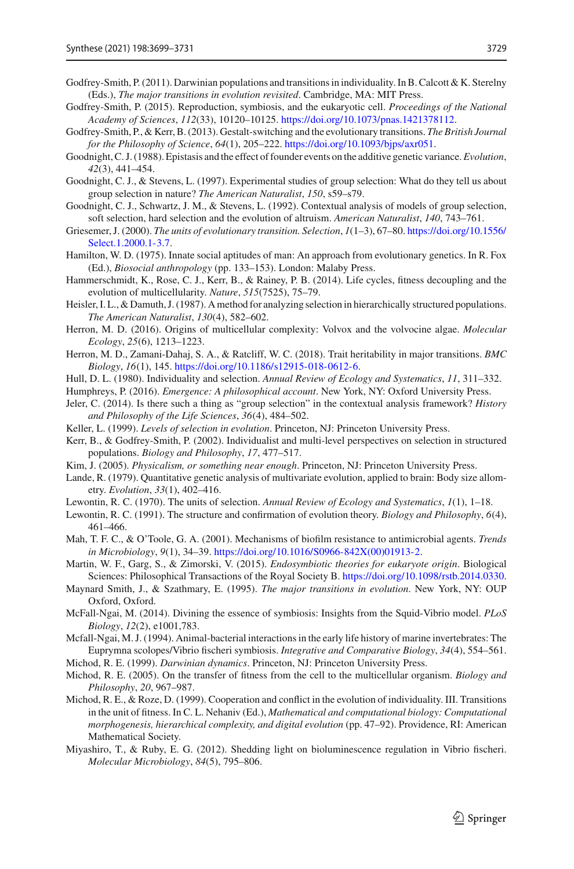- <span id="page-30-10"></span>Godfrey-Smith, P. (2011). Darwinian populations and transitions in individuality. In B. Calcott & K. Sterelny (Eds.), *The major transitions in evolution revisited*. Cambridge, MA: MIT Press.
- <span id="page-30-13"></span>Godfrey-Smith, P. (2015). Reproduction, symbiosis, and the eukaryotic cell. *Proceedings of the National Academy of Sciences*, *112*(33), 10120–10125. [https://doi.org/10.1073/pnas.1421378112.](https://doi.org/10.1073/pnas.1421378112)
- <span id="page-30-6"></span>Godfrey-Smith, P., & Kerr, B. (2013). Gestalt-switching and the evolutionary transitions. *The British Journal for the Philosophy of Science*, *64*(1), 205–222. [https://doi.org/10.1093/bjps/axr051.](https://doi.org/10.1093/bjps/axr051)
- <span id="page-30-24"></span>Goodnight, C. J. (1988). Epistasis and the effect of founder events on the additive genetic variance.*Evolution*, *42*(3), 441–454.
- <span id="page-30-22"></span>Goodnight, C. J., & Stevens, L. (1997). Experimental studies of group selection: What do they tell us about group selection in nature? *The American Naturalist*, *150*, s59–s79.
- <span id="page-30-21"></span>Goodnight, C. J., Schwartz, J. M., & Stevens, L. (1992). Contextual analysis of models of group selection, soft selection, hard selection and the evolution of altruism. *American Naturalist*, *140*, 743–761.
- <span id="page-30-1"></span>Griesemer, J. (2000). *The units of evolutionary transition. Selection*, *1*(1–3), 67–80. [https://doi.org/10.1556/](https://doi.org/10.1556/Select.1.2000.1-3.7) [Select.1.2000.1-3.7.](https://doi.org/10.1556/Select.1.2000.1-3.7)
- <span id="page-30-7"></span>Hamilton, W. D. (1975). Innate social aptitudes of man: An approach from evolutionary genetics. In R. Fox (Ed.), *Biosocial anthropology* (pp. 133–153). London: Malaby Press.
- <span id="page-30-26"></span>Hammerschmidt, K., Rose, C. J., Kerr, B., & Rainey, P. B. (2014). Life cycles, fitness decoupling and the evolution of multicellularity. *Nature*, *515*(7525), 75–79.
- <span id="page-30-8"></span>Heisler, I. L., & Damuth, J. (1987). A method for analyzing selection in hierarchically structured populations. *The American Naturalist*, *130*(4), 582–602.
- <span id="page-30-25"></span>Herron, M. D. (2016). Origins of multicellular complexity: Volvox and the volvocine algae. *Molecular Ecology*, *25*(6), 1213–1223.
- <span id="page-30-29"></span>Herron, M. D., Zamani-Dahaj, S. A., & Ratcliff, W. C. (2018). Trait heritability in major transitions. *BMC Biology*, *16*(1), 145. [https://doi.org/10.1186/s12915-018-0612-6.](https://doi.org/10.1186/s12915-018-0612-6)
- <span id="page-30-12"></span>Hull, D. L. (1980). Individuality and selection. *Annual Review of Ecology and Systematics*, *11*, 311–332.
- <span id="page-30-18"></span>Humphreys, P. (2016). *Emergence: A philosophical account*. New York, NY: Oxford University Press.
- <span id="page-30-23"></span>Jeler, C. (2014). Is there such a thing as "group selection" in the contextual analysis framework? *History and Philosophy of the Life Sciences*, *36*(4), 484–502.
- <span id="page-30-0"></span>Keller, L. (1999). *Levels of selection in evolution*. Princeton, NJ: Princeton University Press.
- <span id="page-30-2"></span>Kerr, B., & Godfrey-Smith, P. (2002). Individualist and multi-level perspectives on selection in structured populations. *Biology and Philosophy*, *17*, 477–517.
- <span id="page-30-3"></span>Kim, J. (2005). *Physicalism, or something near enough*. Princeton, NJ: Princeton University Press.
- <span id="page-30-28"></span>Lande, R. (1979). Quantitative genetic analysis of multivariate evolution, applied to brain: Body size allometry. *Evolution*, *33*(1), 402–416.
- <span id="page-30-20"></span>Lewontin, R. C. (1970). The units of selection. *Annual Review of Ecology and Systematics*, *1*(1), 1–18.
- <span id="page-30-19"></span>Lewontin, R. C. (1991). The structure and confirmation of evolution theory. *Biology and Philosophy*, *6*(4), 461–466.
- <span id="page-30-14"></span>Mah, T. F. C., & O'Toole, G. A. (2001). Mechanisms of biofilm resistance to antimicrobial agents. *Trends in Microbiology*, *9*(1), 34–39. [https://doi.org/10.1016/S0966-842X\(00\)01913-2.](https://doi.org/10.1016/S0966-842X(00)01913-2)
- <span id="page-30-27"></span>Martin, W. F., Garg, S., & Zimorski, V. (2015). *Endosymbiotic theories for eukaryote origin*. Biological Sciences: Philosophical Transactions of the Royal Society B. [https://doi.org/10.1098/rstb.2014.0330.](https://doi.org/10.1098/rstb.2014.0330)
- <span id="page-30-4"></span>Maynard Smith, J., & Szathmary, E. (1995). *The major transitions in evolution*. New York, NY: OUP Oxford, Oxford.
- <span id="page-30-16"></span>McFall-Ngai, M. (2014). Divining the essence of symbiosis: Insights from the Squid-Vibrio model. *PLoS Biology*, *12*(2), e1001,783.
- <span id="page-30-15"></span>Mcfall-Ngai, M. J. (1994). Animal-bacterial interactions in the early life history of marine invertebrates: The Euprymna scolopes/Vibrio fischeri symbiosis. *Integrative and Comparative Biology*, *34*(4), 554–561.
- <span id="page-30-5"></span>Michod, R. E. (1999). *Darwinian dynamics*. Princeton, NJ: Princeton University Press.
- <span id="page-30-9"></span>Michod, R. E. (2005). On the transfer of fitness from the cell to the multicellular organism. *Biology and Philosophy*, *20*, 967–987.
- <span id="page-30-11"></span>Michod, R. E., & Roze, D. (1999). Cooperation and conflict in the evolution of individuality. III. Transitions in the unit of fitness. In C. L. Nehaniv (Ed.), *Mathematical and computational biology: Computational morphogenesis, hierarchical complexity, and digital evolution* (pp. 47–92). Providence, RI: American Mathematical Society.
- <span id="page-30-17"></span>Miyashiro, T., & Ruby, E. G. (2012). Shedding light on bioluminescence regulation in Vibrio fischeri. *Molecular Microbiology*, *84*(5), 795–806.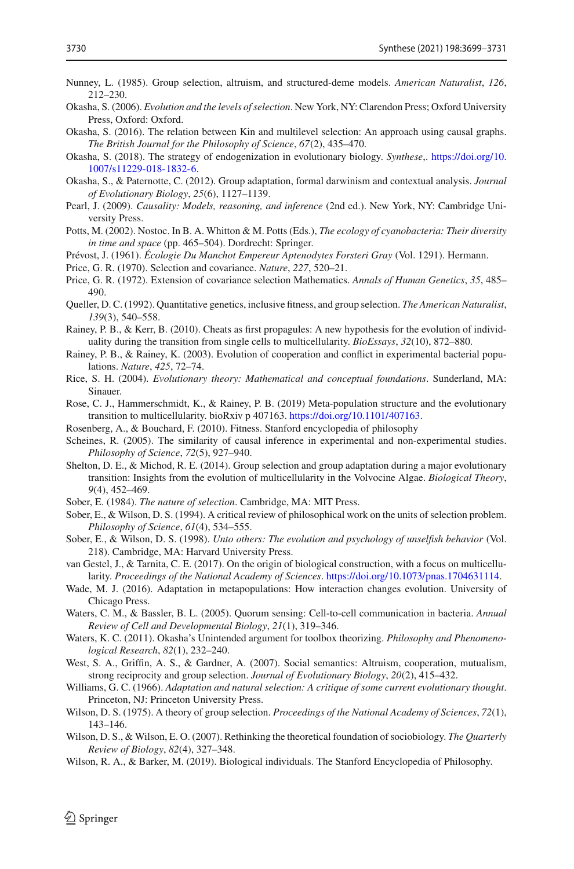- <span id="page-31-13"></span>Nunney, L. (1985). Group selection, altruism, and structured-deme models. *American Naturalist*, *126*, 212–230.
- <span id="page-31-3"></span>Okasha, S. (2006). *Evolution and the levels of selection*. New York, NY: Clarendon Press; Oxford University Press, Oxford: Oxford.
- <span id="page-31-14"></span>Okasha, S. (2016). The relation between Kin and multilevel selection: An approach using causal graphs. *The British Journal for the Philosophy of Science*, *67*(2), 435–470.
- <span id="page-31-7"></span>Okasha, S. (2018). The strategy of endogenization in evolutionary biology. *Synthese*,. [https://doi.org/10.](https://doi.org/10.1007/s11229-018-1832-6) [1007/s11229-018-1832-6.](https://doi.org/10.1007/s11229-018-1832-6)
- <span id="page-31-24"></span>Okasha, S., & Paternotte, C. (2012). Group adaptation, formal darwinism and contextual analysis. *Journal of Evolutionary Biology*, *25*(6), 1127–1139.
- <span id="page-31-12"></span>Pearl, J. (2009). *Causality: Models, reasoning, and inference* (2nd ed.). New York, NY: Cambridge University Press.
- <span id="page-31-29"></span>Potts, M. (2002). Nostoc. In B. A. Whitton & M. Potts (Eds.), *The ecology of cyanobacteria: Their diversity in time and space* (pp. 465–504). Dordrecht: Springer.
- <span id="page-31-18"></span>Prévost, J. (1961). *Écologie Du Manchot Empereur Aptenodytes Forsteri Gray* (Vol. 1291). Hermann.
- <span id="page-31-10"></span>Price, G. R. (1970). Selection and covariance. *Nature*, *227*, 520–21.
- <span id="page-31-11"></span>Price, G. R. (1972). Extension of covariance selection Mathematics. *Annals of Human Genetics*, *35*, 485– 490.
- <span id="page-31-22"></span>Queller, D. C. (1992). Quantitative genetics, inclusive fitness, and group selection. *The American Naturalist*, *139*(3), 540–558.
- <span id="page-31-27"></span>Rainey, P. B., & Kerr, B. (2010). Cheats as first propagules: A new hypothesis for the evolution of individuality during the transition from single cells to multicellularity. *BioEssays*, *32*(10), 872–880.
- <span id="page-31-26"></span>Rainey, P. B., & Rainey, K. (2003). Evolution of cooperation and conflict in experimental bacterial populations. *Nature*, *425*, 72–74.
- <span id="page-31-23"></span>Rice, S. H. (2004). *Evolutionary theory: Mathematical and conceptual foundations*. Sunderland, MA: Sinauer.
- <span id="page-31-28"></span>Rose, C. J., Hammerschmidt, K., & Rainey, P. B. (2019) Meta-population structure and the evolutionary transition to multicellularity. bioRxiv p 407163. [https://doi.org/10.1101/407163.](https://doi.org/10.1101/407163)
- <span id="page-31-21"></span>Rosenberg, A., & Bouchard, F. (2010). Fitness. Stanford encyclopedia of philosophy
- <span id="page-31-15"></span>Scheines, R. (2005). The similarity of causal inference in experimental and non-experimental studies. *Philosophy of Science*, *72*(5), 927–940.
- <span id="page-31-20"></span>Shelton, D. E., & Michod, R. E. (2014). Group selection and group adaptation during a major evolutionary transition: Insights from the evolution of multicellularity in the Volvocine Algae. *Biological Theory*, *9*(4), 452–469.
- <span id="page-31-17"></span>Sober, E. (1984). *The nature of selection*. Cambridge, MA: MIT Press.
- <span id="page-31-1"></span>Sober, E., & Wilson, D. S. (1994). A critical review of philosophical work on the units of selection problem. *Philosophy of Science*, *61*(4), 534–555.
- <span id="page-31-2"></span>Sober, E., & Wilson, D. S. (1998). *Unto others: The evolution and psychology of unselfish behavior* (Vol. 218). Cambridge, MA: Harvard University Press.
- <span id="page-31-8"></span>van Gestel, J., & Tarnita, C. E. (2017). On the origin of biological construction, with a focus on multicellularity. *Proceedings of the National Academy of Sciences*. [https://doi.org/10.1073/pnas.1704631114.](https://doi.org/10.1073/pnas.1704631114)
- <span id="page-31-25"></span>Wade, M. J. (2016). Adaptation in metapopulations: How interaction changes evolution. University of Chicago Press.
- <span id="page-31-19"></span>Waters, C. M., & Bassler, B. L. (2005). Quorum sensing: Cell-to-cell communication in bacteria. *Annual Review of Cell and Developmental Biology*, *21*(1), 319–346.
- <span id="page-31-16"></span>Waters, K. C. (2011). Okasha's Unintended argument for toolbox theorizing. *Philosophy and Phenomenological Research*, *82*(1), 232–240.
- <span id="page-31-4"></span>West, S. A., Griffin, A. S., & Gardner, A. (2007). Social semantics: Altruism, cooperation, mutualism, strong reciprocity and group selection. *Journal of Evolutionary Biology*, *20*(2), 415–432.
- <span id="page-31-0"></span>Williams, G. C. (1966). *Adaptation and natural selection: A critique of some current evolutionary thought*. Princeton, NJ: Princeton University Press.
- <span id="page-31-5"></span>Wilson, D. S. (1975). A theory of group selection. *Proceedings of the National Academy of Sciences*, *72*(1), 143–146.
- <span id="page-31-6"></span>Wilson, D. S., & Wilson, E. O. (2007). Rethinking the theoretical foundation of sociobiology. *The Quarterly Review of Biology*, *82*(4), 327–348.
- <span id="page-31-9"></span>Wilson, R. A., & Barker, M. (2019). Biological individuals. The Stanford Encyclopedia of Philosophy.